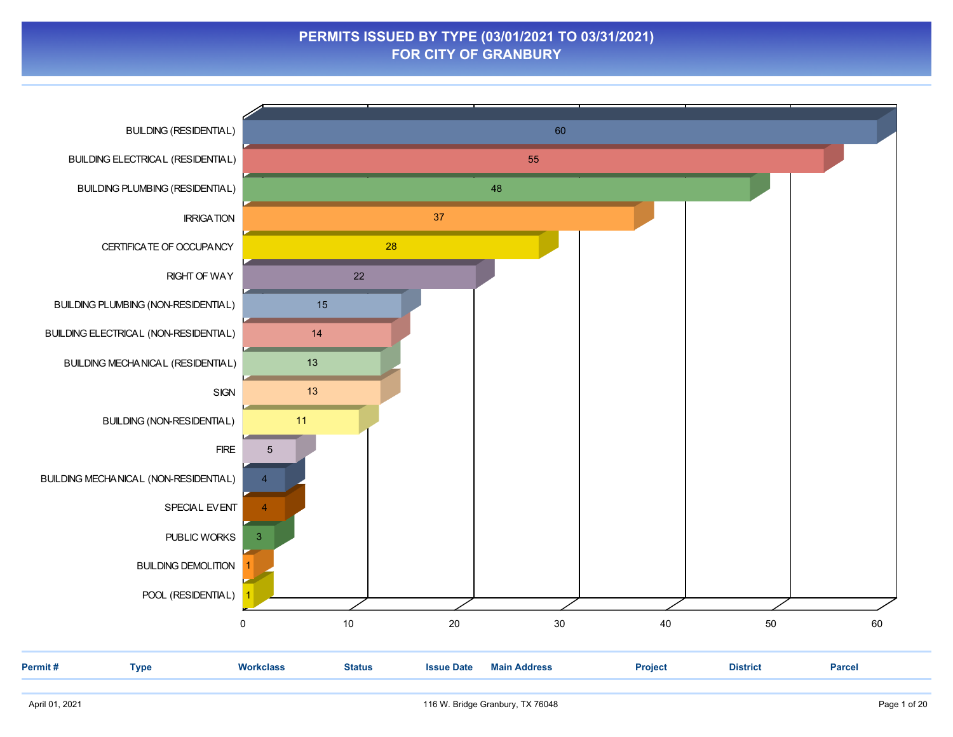### **PERMITS ISSUED BY TYPE (03/01/2021 TO 03/31/2021) FOR CITY OF GRANBURY**

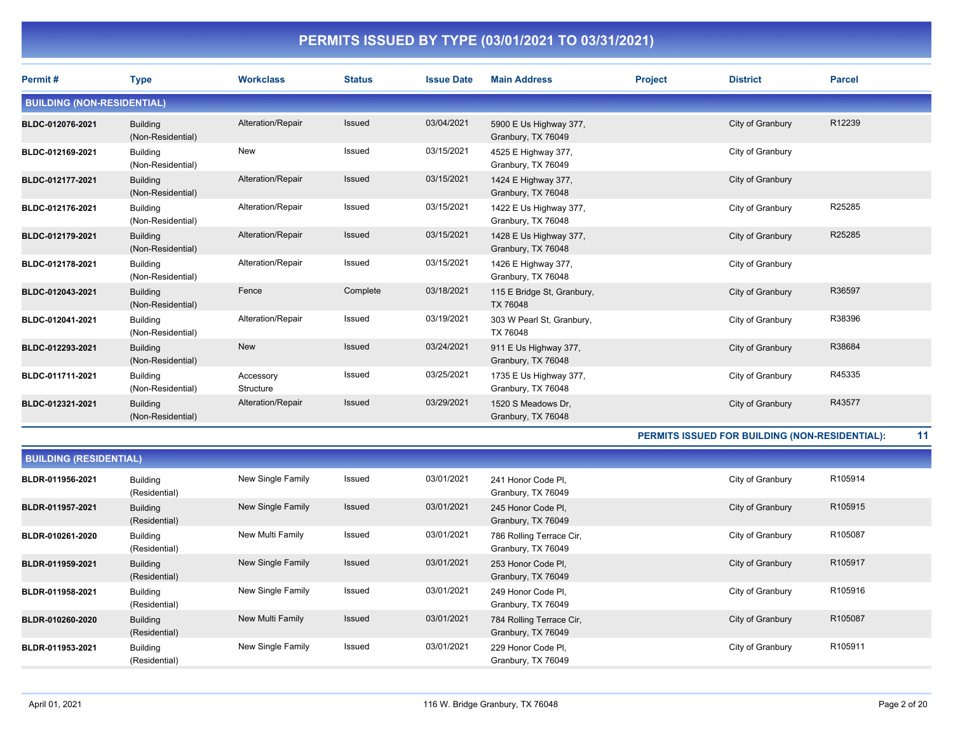| Permit#                           | <b>Type</b>                          | <b>Workclass</b>       | <b>Status</b> | <b>Issue Date</b> | <b>Main Address</b>                          | <b>Project</b>                                 | <b>District</b>  | <b>Parcel</b> |
|-----------------------------------|--------------------------------------|------------------------|---------------|-------------------|----------------------------------------------|------------------------------------------------|------------------|---------------|
| <b>BUILDING (NON-RESIDENTIAL)</b> |                                      |                        |               |                   |                                              |                                                |                  |               |
| BLDC-012076-2021                  | <b>Building</b><br>(Non-Residential) | Alteration/Repair      | Issued        | 03/04/2021        | 5900 E Us Highway 377,<br>Granbury, TX 76049 |                                                | City of Granbury | R12239        |
| BLDC-012169-2021                  | <b>Building</b><br>(Non-Residential) | New                    | Issued        | 03/15/2021        | 4525 E Highway 377,<br>Granbury, TX 76049    |                                                | City of Granbury |               |
| BLDC-012177-2021                  | <b>Building</b><br>(Non-Residential) | Alteration/Repair      | Issued        | 03/15/2021        | 1424 E Highway 377,<br>Granbury, TX 76048    |                                                | City of Granbury |               |
| BLDC-012176-2021                  | <b>Building</b><br>(Non-Residential) | Alteration/Repair      | Issued        | 03/15/2021        | 1422 E Us Highway 377,<br>Granbury, TX 76048 |                                                | City of Granbury | R25285        |
| BLDC-012179-2021                  | <b>Building</b><br>(Non-Residential) | Alteration/Repair      | Issued        | 03/15/2021        | 1428 E Us Highway 377,<br>Granbury, TX 76048 |                                                | City of Granbury | R25285        |
| BLDC-012178-2021                  | <b>Building</b><br>(Non-Residential) | Alteration/Repair      | Issued        | 03/15/2021        | 1426 E Highway 377,<br>Granbury, TX 76048    |                                                | City of Granbury |               |
| BLDC-012043-2021                  | <b>Building</b><br>(Non-Residential) | Fence                  | Complete      | 03/18/2021        | 115 E Bridge St, Granbury,<br>TX 76048       |                                                | City of Granbury | R36597        |
| BLDC-012041-2021                  | <b>Building</b><br>(Non-Residential) | Alteration/Repair      | Issued        | 03/19/2021        | 303 W Pearl St, Granbury,<br>TX 76048        |                                                | City of Granbury | R38396        |
| BLDC-012293-2021                  | <b>Building</b><br>(Non-Residential) | New                    | Issued        | 03/24/2021        | 911 E Us Highway 377,<br>Granbury, TX 76048  |                                                | City of Granbury | R38684        |
| BLDC-011711-2021                  | <b>Building</b><br>(Non-Residential) | Accessory<br>Structure | Issued        | 03/25/2021        | 1735 E Us Highway 377,<br>Granbury, TX 76048 |                                                | City of Granbury | R45335        |
| BLDC-012321-2021                  | <b>Building</b><br>(Non-Residential) | Alteration/Repair      | <b>Issued</b> | 03/29/2021        | 1520 S Meadows Dr.<br>Granbury, TX 76048     |                                                | City of Granbury | R43577        |
|                                   |                                      |                        |               |                   |                                              | PERMITS ISSUED FOR BUILDING (NON-RESIDENTIAL): |                  |               |

| <b>BUILDING (RESIDENTIAL)</b> |                                  |                   |               |            |                                                |                  |         |  |  |  |
|-------------------------------|----------------------------------|-------------------|---------------|------------|------------------------------------------------|------------------|---------|--|--|--|
| BLDR-011956-2021              | <b>Building</b><br>(Residential) | New Single Family | Issued        | 03/01/2021 | 241 Honor Code PI,<br>Granbury, TX 76049       | City of Granbury | R105914 |  |  |  |
| BLDR-011957-2021              | <b>Building</b><br>(Residential) | New Single Family | <b>Issued</b> | 03/01/2021 | 245 Honor Code Pl.<br>Granbury, TX 76049       | City of Granbury | R105915 |  |  |  |
| BLDR-010261-2020              | <b>Building</b><br>(Residential) | New Multi Family  | Issued        | 03/01/2021 | 786 Rolling Terrace Cir,<br>Granbury, TX 76049 | City of Granbury | R105087 |  |  |  |
| BLDR-011959-2021              | <b>Building</b><br>(Residential) | New Single Family | <b>Issued</b> | 03/01/2021 | 253 Honor Code PI,<br>Granbury, TX 76049       | City of Granbury | R105917 |  |  |  |
| BLDR-011958-2021              | <b>Building</b><br>(Residential) | New Single Family | Issued        | 03/01/2021 | 249 Honor Code Pl,<br>Granbury, TX 76049       | City of Granbury | R105916 |  |  |  |
| BLDR-010260-2020              | <b>Building</b><br>(Residential) | New Multi Family  | <b>Issued</b> | 03/01/2021 | 784 Rolling Terrace Cir,<br>Granbury, TX 76049 | City of Granbury | R105087 |  |  |  |
| BLDR-011953-2021              | <b>Building</b><br>(Residential) | New Single Family | Issued        | 03/01/2021 | 229 Honor Code Pl,<br>Granbury, TX 76049       | City of Granbury | R105911 |  |  |  |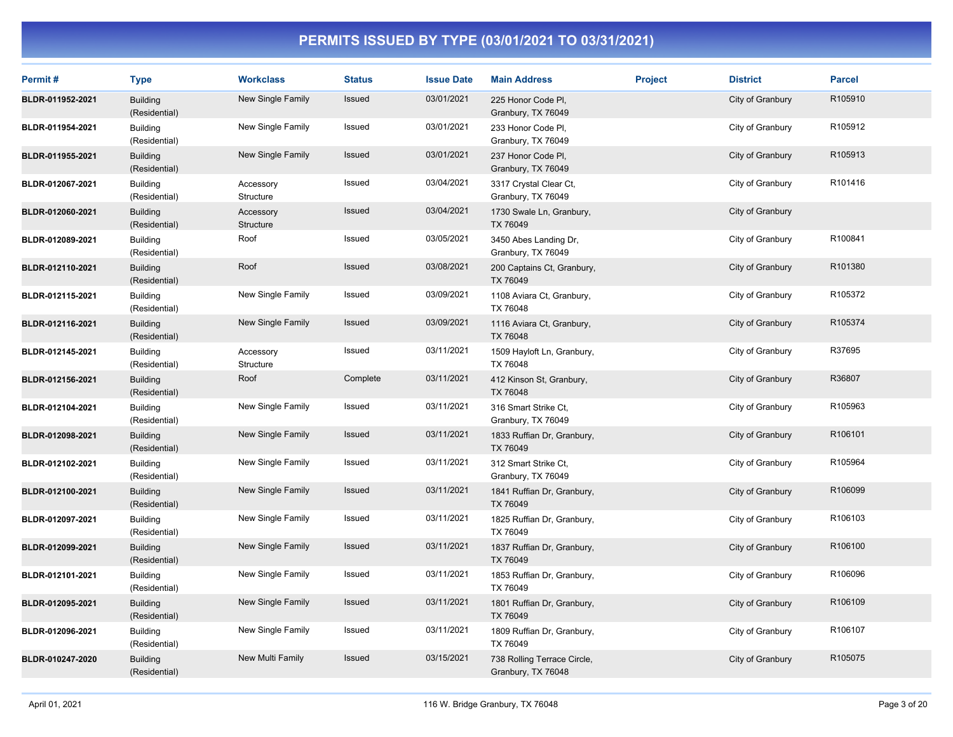| Permit#          | <b>Type</b>                      | <b>Workclass</b>       | <b>Status</b> | <b>Issue Date</b> | <b>Main Address</b>                               | <b>Project</b> | <b>District</b>  | <b>Parcel</b>       |
|------------------|----------------------------------|------------------------|---------------|-------------------|---------------------------------------------------|----------------|------------------|---------------------|
| BLDR-011952-2021 | <b>Building</b><br>(Residential) | New Single Family      | Issued        | 03/01/2021        | 225 Honor Code Pl,<br>Granbury, TX 76049          |                | City of Granbury | R105910             |
| BLDR-011954-2021 | <b>Building</b><br>(Residential) | New Single Family      | Issued        | 03/01/2021        | 233 Honor Code Pl,<br>Granbury, TX 76049          |                | City of Granbury | R105912             |
| BLDR-011955-2021 | <b>Building</b><br>(Residential) | New Single Family      | Issued        | 03/01/2021        | 237 Honor Code PI,<br>Granbury, TX 76049          |                | City of Granbury | R105913             |
| BLDR-012067-2021 | <b>Building</b><br>(Residential) | Accessory<br>Structure | Issued        | 03/04/2021        | 3317 Crystal Clear Ct,<br>Granbury, TX 76049      |                | City of Granbury | R101416             |
| BLDR-012060-2021 | <b>Building</b><br>(Residential) | Accessory<br>Structure | Issued        | 03/04/2021        | 1730 Swale Ln, Granbury,<br>TX 76049              |                | City of Granbury |                     |
| BLDR-012089-2021 | <b>Building</b><br>(Residential) | Roof                   | Issued        | 03/05/2021        | 3450 Abes Landing Dr,<br>Granbury, TX 76049       |                | City of Granbury | R100841             |
| BLDR-012110-2021 | <b>Building</b><br>(Residential) | Roof                   | <b>Issued</b> | 03/08/2021        | 200 Captains Ct, Granbury,<br>TX 76049            |                | City of Granbury | R101380             |
| BLDR-012115-2021 | <b>Building</b><br>(Residential) | New Single Family      | Issued        | 03/09/2021        | 1108 Aviara Ct, Granbury,<br>TX 76048             |                | City of Granbury | R105372             |
| BLDR-012116-2021 | <b>Building</b><br>(Residential) | New Single Family      | Issued        | 03/09/2021        | 1116 Aviara Ct, Granbury,<br>TX 76048             |                | City of Granbury | R105374             |
| BLDR-012145-2021 | <b>Building</b><br>(Residential) | Accessory<br>Structure | Issued        | 03/11/2021        | 1509 Hayloft Ln, Granbury,<br>TX 76048            |                | City of Granbury | R37695              |
| BLDR-012156-2021 | <b>Building</b><br>(Residential) | Roof                   | Complete      | 03/11/2021        | 412 Kinson St, Granbury,<br>TX 76048              |                | City of Granbury | R36807              |
| BLDR-012104-2021 | <b>Building</b><br>(Residential) | New Single Family      | Issued        | 03/11/2021        | 316 Smart Strike Ct,<br>Granbury, TX 76049        |                | City of Granbury | R105963             |
| BLDR-012098-2021 | <b>Building</b><br>(Residential) | New Single Family      | Issued        | 03/11/2021        | 1833 Ruffian Dr, Granbury,<br>TX 76049            |                | City of Granbury | R106101             |
| BLDR-012102-2021 | <b>Building</b><br>(Residential) | New Single Family      | Issued        | 03/11/2021        | 312 Smart Strike Ct,<br>Granbury, TX 76049        |                | City of Granbury | R105964             |
| BLDR-012100-2021 | <b>Building</b><br>(Residential) | New Single Family      | Issued        | 03/11/2021        | 1841 Ruffian Dr, Granbury,<br>TX 76049            |                | City of Granbury | R106099             |
| BLDR-012097-2021 | <b>Building</b><br>(Residential) | New Single Family      | Issued        | 03/11/2021        | 1825 Ruffian Dr, Granbury,<br>TX 76049            |                | City of Granbury | R106103             |
| BLDR-012099-2021 | <b>Building</b><br>(Residential) | New Single Family      | Issued        | 03/11/2021        | 1837 Ruffian Dr, Granbury,<br>TX 76049            |                | City of Granbury | R <sub>106100</sub> |
| BLDR-012101-2021 | <b>Building</b><br>(Residential) | New Single Family      | Issued        | 03/11/2021        | 1853 Ruffian Dr, Granbury,<br>TX 76049            |                | City of Granbury | R106096             |
| BLDR-012095-2021 | <b>Building</b><br>(Residential) | New Single Family      | Issued        | 03/11/2021        | 1801 Ruffian Dr, Granbury,<br>TX 76049            |                | City of Granbury | R106109             |
| BLDR-012096-2021 | <b>Building</b><br>(Residential) | New Single Family      | Issued        | 03/11/2021        | 1809 Ruffian Dr, Granbury,<br>TX 76049            |                | City of Granbury | R106107             |
| BLDR-010247-2020 | <b>Building</b><br>(Residential) | New Multi Family       | <b>Issued</b> | 03/15/2021        | 738 Rolling Terrace Circle,<br>Granbury, TX 76048 |                | City of Granbury | R105075             |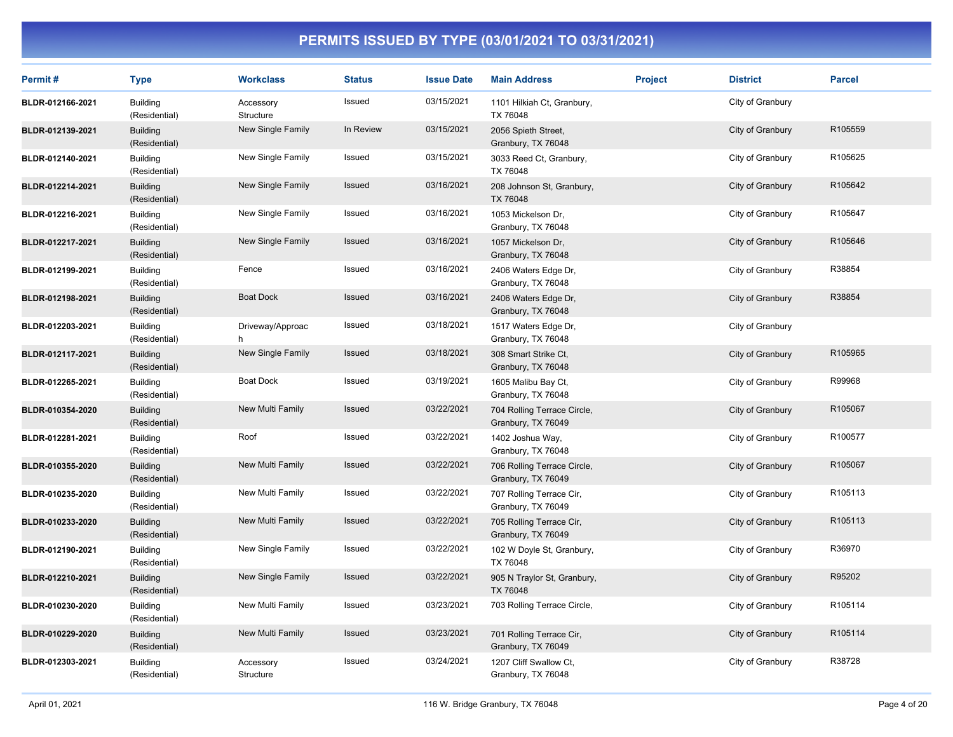| Permit#          | <b>Type</b>                      | <b>Workclass</b>       | <b>Status</b> | <b>Issue Date</b> | <b>Main Address</b>                               | <b>Project</b> | <b>District</b>  | <b>Parcel</b> |
|------------------|----------------------------------|------------------------|---------------|-------------------|---------------------------------------------------|----------------|------------------|---------------|
| BLDR-012166-2021 | <b>Building</b><br>(Residential) | Accessory<br>Structure | Issued        | 03/15/2021        | 1101 Hilkiah Ct, Granbury,<br>TX 76048            |                | City of Granbury |               |
| BLDR-012139-2021 | <b>Building</b><br>(Residential) | New Single Family      | In Review     | 03/15/2021        | 2056 Spieth Street,<br>Granbury, TX 76048         |                | City of Granbury | R105559       |
| BLDR-012140-2021 | <b>Building</b><br>(Residential) | New Single Family      | Issued        | 03/15/2021        | 3033 Reed Ct, Granbury,<br>TX 76048               |                | City of Granbury | R105625       |
| BLDR-012214-2021 | <b>Building</b><br>(Residential) | New Single Family      | Issued        | 03/16/2021        | 208 Johnson St, Granbury,<br>TX 76048             |                | City of Granbury | R105642       |
| BLDR-012216-2021 | <b>Building</b><br>(Residential) | New Single Family      | Issued        | 03/16/2021        | 1053 Mickelson Dr,<br>Granbury, TX 76048          |                | City of Granbury | R105647       |
| BLDR-012217-2021 | <b>Building</b><br>(Residential) | New Single Family      | Issued        | 03/16/2021        | 1057 Mickelson Dr,<br>Granbury, TX 76048          |                | City of Granbury | R105646       |
| BLDR-012199-2021 | <b>Building</b><br>(Residential) | Fence                  | Issued        | 03/16/2021        | 2406 Waters Edge Dr,<br>Granbury, TX 76048        |                | City of Granbury | R38854        |
| BLDR-012198-2021 | <b>Building</b><br>(Residential) | <b>Boat Dock</b>       | Issued        | 03/16/2021        | 2406 Waters Edge Dr,<br>Granbury, TX 76048        |                | City of Granbury | R38854        |
| BLDR-012203-2021 | <b>Building</b><br>(Residential) | Driveway/Approac<br>h  | Issued        | 03/18/2021        | 1517 Waters Edge Dr,<br>Granbury, TX 76048        |                | City of Granbury |               |
| BLDR-012117-2021 | <b>Building</b><br>(Residential) | New Single Family      | Issued        | 03/18/2021        | 308 Smart Strike Ct,<br>Granbury, TX 76048        |                | City of Granbury | R105965       |
| BLDR-012265-2021 | <b>Building</b><br>(Residential) | <b>Boat Dock</b>       | Issued        | 03/19/2021        | 1605 Malibu Bay Ct,<br>Granbury, TX 76048         |                | City of Granbury | R99968        |
| BLDR-010354-2020 | <b>Building</b><br>(Residential) | New Multi Family       | Issued        | 03/22/2021        | 704 Rolling Terrace Circle,<br>Granbury, TX 76049 |                | City of Granbury | R105067       |
| BLDR-012281-2021 | <b>Building</b><br>(Residential) | Roof                   | Issued        | 03/22/2021        | 1402 Joshua Way,<br>Granbury, TX 76048            |                | City of Granbury | R100577       |
| BLDR-010355-2020 | <b>Building</b><br>(Residential) | New Multi Family       | <b>Issued</b> | 03/22/2021        | 706 Rolling Terrace Circle,<br>Granbury, TX 76049 |                | City of Granbury | R105067       |
| BLDR-010235-2020 | <b>Building</b><br>(Residential) | New Multi Family       | Issued        | 03/22/2021        | 707 Rolling Terrace Cir,<br>Granbury, TX 76049    |                | City of Granbury | R105113       |
| BLDR-010233-2020 | <b>Building</b><br>(Residential) | New Multi Family       | Issued        | 03/22/2021        | 705 Rolling Terrace Cir,<br>Granbury, TX 76049    |                | City of Granbury | R105113       |
| BLDR-012190-2021 | <b>Building</b><br>(Residential) | New Single Family      | Issued        | 03/22/2021        | 102 W Doyle St, Granbury,<br>TX 76048             |                | City of Granbury | R36970        |
| BLDR-012210-2021 | <b>Building</b><br>(Residential) | New Single Family      | <b>Issued</b> | 03/22/2021        | 905 N Traylor St, Granbury,<br>TX 76048           |                | City of Granbury | R95202        |
| BLDR-010230-2020 | <b>Building</b><br>(Residential) | New Multi Family       | Issued        | 03/23/2021        | 703 Rolling Terrace Circle,                       |                | City of Granbury | R105114       |
| BLDR-010229-2020 | <b>Building</b><br>(Residential) | New Multi Family       | Issued        | 03/23/2021        | 701 Rolling Terrace Cir,<br>Granbury, TX 76049    |                | City of Granbury | R105114       |
| BLDR-012303-2021 | <b>Building</b><br>(Residential) | Accessory<br>Structure | Issued        | 03/24/2021        | 1207 Cliff Swallow Ct,<br>Granbury, TX 76048      |                | City of Granbury | R38728        |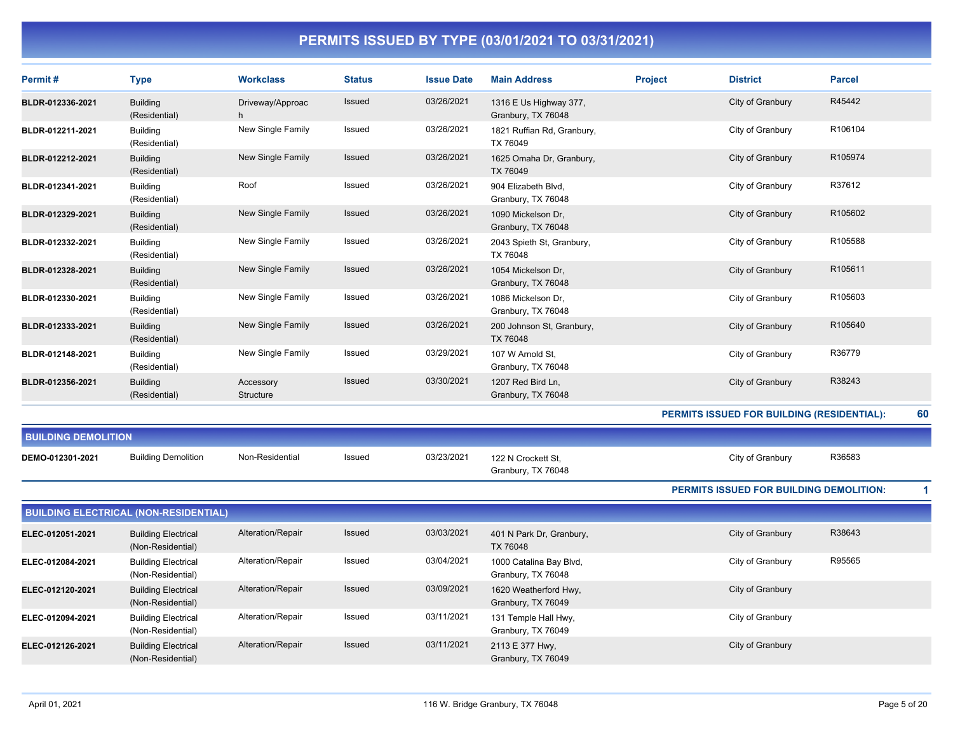| Permit#                    | <b>Type</b>                                     | <b>Workclass</b>       | <b>Status</b> | <b>Issue Date</b> | <b>Main Address</b>                           | <b>Project</b> | <b>District</b>                                   | <b>Parcel</b> |    |
|----------------------------|-------------------------------------------------|------------------------|---------------|-------------------|-----------------------------------------------|----------------|---------------------------------------------------|---------------|----|
| BLDR-012336-2021           | <b>Building</b><br>(Residential)                | Driveway/Approac       | <b>Issued</b> | 03/26/2021        | 1316 E Us Highway 377,<br>Granbury, TX 76048  |                | City of Granbury                                  | R45442        |    |
| BLDR-012211-2021           | <b>Building</b><br>(Residential)                | New Single Family      | Issued        | 03/26/2021        | 1821 Ruffian Rd, Granbury,<br>TX 76049        |                | City of Granbury                                  | R106104       |    |
| BLDR-012212-2021           | <b>Building</b><br>(Residential)                | New Single Family      | <b>Issued</b> | 03/26/2021        | 1625 Omaha Dr, Granbury,<br>TX 76049          |                | City of Granbury                                  | R105974       |    |
| BLDR-012341-2021           | <b>Building</b><br>(Residential)                | Roof                   | Issued        | 03/26/2021        | 904 Elizabeth Blvd,<br>Granbury, TX 76048     |                | City of Granbury                                  | R37612        |    |
| BLDR-012329-2021           | <b>Building</b><br>(Residential)                | New Single Family      | <b>Issued</b> | 03/26/2021        | 1090 Mickelson Dr.<br>Granbury, TX 76048      |                | City of Granbury                                  | R105602       |    |
| BLDR-012332-2021           | <b>Building</b><br>(Residential)                | New Single Family      | <b>Issued</b> | 03/26/2021        | 2043 Spieth St, Granbury,<br>TX 76048         |                | City of Granbury                                  | R105588       |    |
| BLDR-012328-2021           | <b>Building</b><br>(Residential)                | New Single Family      | <b>Issued</b> | 03/26/2021        | 1054 Mickelson Dr.<br>Granbury, TX 76048      |                | City of Granbury                                  | R105611       |    |
| BLDR-012330-2021           | <b>Building</b><br>(Residential)                | New Single Family      | Issued        | 03/26/2021        | 1086 Mickelson Dr,<br>Granbury, TX 76048      |                | City of Granbury                                  | R105603       |    |
| BLDR-012333-2021           | <b>Building</b><br>(Residential)                | New Single Family      | Issued        | 03/26/2021        | 200 Johnson St, Granbury,<br>TX 76048         |                | City of Granbury                                  | R105640       |    |
| BLDR-012148-2021           | <b>Building</b><br>(Residential)                | New Single Family      | <b>Issued</b> | 03/29/2021        | 107 W Arnold St,<br>Granbury, TX 76048        |                | City of Granbury                                  | R36779        |    |
| BLDR-012356-2021           | <b>Building</b><br>(Residential)                | Accessory<br>Structure | Issued        | 03/30/2021        | 1207 Red Bird Ln,<br>Granbury, TX 76048       |                | City of Granbury                                  | R38243        |    |
|                            |                                                 |                        |               |                   |                                               |                | <b>PERMITS ISSUED FOR BUILDING (RESIDENTIAL):</b> |               | 60 |
| <b>BUILDING DEMOLITION</b> |                                                 |                        |               |                   |                                               |                |                                                   |               |    |
| DEMO-012301-2021           | <b>Building Demolition</b>                      | Non-Residential        | Issued        | 03/23/2021        | 122 N Crockett St,<br>Granbury, TX 76048      |                | City of Granbury                                  | R36583        |    |
|                            |                                                 |                        |               |                   |                                               |                | <b>PERMITS ISSUED FOR BUILDING DEMOLITION:</b>    |               | 1  |
|                            | <b>BUILDING ELECTRICAL (NON-RESIDENTIAL)</b>    |                        |               |                   |                                               |                |                                                   |               |    |
| ELEC-012051-2021           | <b>Building Electrical</b><br>(Non-Residential) | Alteration/Repair      | <b>Issued</b> | 03/03/2021        | 401 N Park Dr, Granbury,<br>TX 76048          |                | City of Granbury                                  | R38643        |    |
| ELEC-012084-2021           | <b>Building Electrical</b><br>(Non-Residential) | Alteration/Repair      | Issued        | 03/04/2021        | 1000 Catalina Bay Blvd,<br>Granbury, TX 76048 |                | City of Granbury                                  | R95565        |    |
| ELEC-012120-2021           | <b>Building Electrical</b><br>(Non-Residential) | Alteration/Repair      | <b>Issued</b> | 03/09/2021        | 1620 Weatherford Hwy,<br>Granbury, TX 76049   |                | City of Granbury                                  |               |    |
| ELEC-012094-2021           | <b>Building Electrical</b>                      | Alteration/Repair      | Issued        | 03/11/2021        | 131 Temple Hall Hwy,                          |                | City of Granbury                                  |               |    |

(Non-Residential)

Building Electrical (Non-Residential) Alteration/Repair Issued 03/11/2021 2113 E 377 Hwy,

**ELEC-012126-2021** Building Electrical Alteration/Repair Issued 03/11/2021 2113 E 377 Hwy,

Granbury, TX 76049

Granbury, TX 76049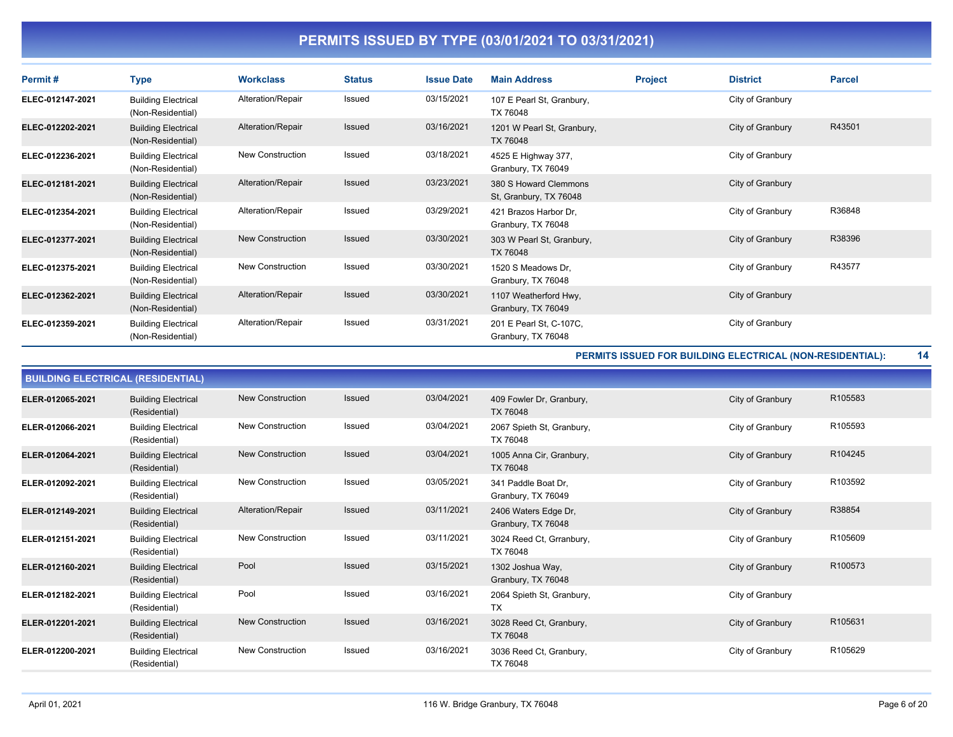| Permit#          | <b>Type</b>                                     | <b>Workclass</b>        | <b>Status</b> | <b>Issue Date</b> | <b>Main Address</b>                             | <b>Project</b> | <b>District</b>  | <b>Parcel</b> |
|------------------|-------------------------------------------------|-------------------------|---------------|-------------------|-------------------------------------------------|----------------|------------------|---------------|
| ELEC-012147-2021 | <b>Building Electrical</b><br>(Non-Residential) | Alteration/Repair       | Issued        | 03/15/2021        | 107 E Pearl St, Granbury,<br>TX 76048           |                | City of Granbury |               |
| ELEC-012202-2021 | <b>Building Electrical</b><br>(Non-Residential) | Alteration/Repair       | <b>Issued</b> | 03/16/2021        | 1201 W Pearl St, Granbury,<br>TX 76048          |                | City of Granbury | R43501        |
| ELEC-012236-2021 | <b>Building Electrical</b><br>(Non-Residential) | <b>New Construction</b> | Issued        | 03/18/2021        | 4525 E Highway 377,<br>Granbury, TX 76049       |                | City of Granbury |               |
| ELEC-012181-2021 | <b>Building Electrical</b><br>(Non-Residential) | Alteration/Repair       | <b>Issued</b> | 03/23/2021        | 380 S Howard Clemmons<br>St, Granbury, TX 76048 |                | City of Granbury |               |
| ELEC-012354-2021 | <b>Building Electrical</b><br>(Non-Residential) | Alteration/Repair       | Issued        | 03/29/2021        | 421 Brazos Harbor Dr.<br>Granbury, TX 76048     |                | City of Granbury | R36848        |
| ELEC-012377-2021 | <b>Building Electrical</b><br>(Non-Residential) | New Construction        | <b>Issued</b> | 03/30/2021        | 303 W Pearl St, Granbury,<br>TX 76048           |                | City of Granbury | R38396        |
| ELEC-012375-2021 | <b>Building Electrical</b><br>(Non-Residential) | <b>New Construction</b> | Issued        | 03/30/2021        | 1520 S Meadows Dr,<br>Granbury, TX 76048        |                | City of Granbury | R43577        |
| ELEC-012362-2021 | <b>Building Electrical</b><br>(Non-Residential) | Alteration/Repair       | <b>Issued</b> | 03/30/2021        | 1107 Weatherford Hwy,<br>Granbury, TX 76049     |                | City of Granbury |               |
| ELEC-012359-2021 | <b>Building Electrical</b><br>(Non-Residential) | Alteration/Repair       | Issued        | 03/31/2021        | 201 E Pearl St, C-107C,<br>Granbury, TX 76048   |                | City of Granbury |               |

**PERMITS ISSUED FOR BUILDING ELECTRICAL (NON-RESIDENTIAL): 14**

|                  | <b>BUILDING ELECTRICAL (RESIDENTIAL)</b>    |                         |               |            |                                            |                  |         |  |  |  |
|------------------|---------------------------------------------|-------------------------|---------------|------------|--------------------------------------------|------------------|---------|--|--|--|
| ELER-012065-2021 | <b>Building Electrical</b><br>(Residential) | <b>New Construction</b> | <b>Issued</b> | 03/04/2021 | 409 Fowler Dr, Granbury,<br>TX 76048       | City of Granbury | R105583 |  |  |  |
| ELER-012066-2021 | <b>Building Electrical</b><br>(Residential) | <b>New Construction</b> | <b>Issued</b> | 03/04/2021 | 2067 Spieth St, Granbury,<br>TX 76048      | City of Granbury | R105593 |  |  |  |
| ELER-012064-2021 | <b>Building Electrical</b><br>(Residential) | New Construction        | <b>Issued</b> | 03/04/2021 | 1005 Anna Cir, Granbury,<br>TX 76048       | City of Granbury | R104245 |  |  |  |
| ELER-012092-2021 | <b>Building Electrical</b><br>(Residential) | <b>New Construction</b> | Issued        | 03/05/2021 | 341 Paddle Boat Dr.<br>Granbury, TX 76049  | City of Granbury | R103592 |  |  |  |
| ELER-012149-2021 | <b>Building Electrical</b><br>(Residential) | Alteration/Repair       | Issued        | 03/11/2021 | 2406 Waters Edge Dr,<br>Granbury, TX 76048 | City of Granbury | R38854  |  |  |  |
| ELER-012151-2021 | <b>Building Electrical</b><br>(Residential) | <b>New Construction</b> | <b>Issued</b> | 03/11/2021 | 3024 Reed Ct, Grranbury,<br>TX 76048       | City of Granbury | R105609 |  |  |  |
| ELER-012160-2021 | <b>Building Electrical</b><br>(Residential) | Pool                    | Issued        | 03/15/2021 | 1302 Joshua Way,<br>Granbury, TX 76048     | City of Granbury | R100573 |  |  |  |
| ELER-012182-2021 | <b>Building Electrical</b><br>(Residential) | Pool                    | Issued        | 03/16/2021 | 2064 Spieth St, Granbury,<br><b>TX</b>     | City of Granbury |         |  |  |  |
| ELER-012201-2021 | <b>Building Electrical</b><br>(Residential) | <b>New Construction</b> | <b>Issued</b> | 03/16/2021 | 3028 Reed Ct, Granbury,<br>TX 76048        | City of Granbury | R105631 |  |  |  |
| ELER-012200-2021 | <b>Building Electrical</b><br>(Residential) | <b>New Construction</b> | Issued        | 03/16/2021 | 3036 Reed Ct, Granbury,<br>TX 76048        | City of Granbury | R105629 |  |  |  |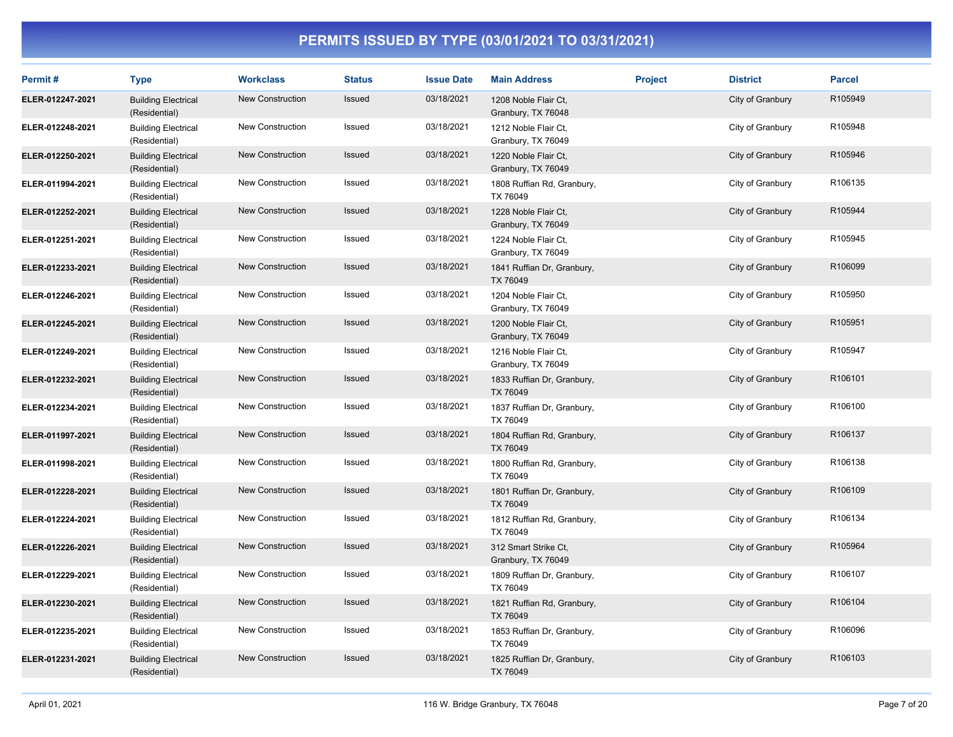| Permit#          | <b>Type</b>                                 | <b>Workclass</b>        | <b>Status</b> | <b>Issue Date</b> | <b>Main Address</b>                        | <b>Project</b> | <b>District</b>  | <b>Parcel</b> |
|------------------|---------------------------------------------|-------------------------|---------------|-------------------|--------------------------------------------|----------------|------------------|---------------|
| ELER-012247-2021 | <b>Building Electrical</b><br>(Residential) | <b>New Construction</b> | Issued        | 03/18/2021        | 1208 Noble Flair Ct.<br>Granbury, TX 76048 |                | City of Granbury | R105949       |
| ELER-012248-2021 | <b>Building Electrical</b><br>(Residential) | New Construction        | Issued        | 03/18/2021        | 1212 Noble Flair Ct.<br>Granbury, TX 76049 |                | City of Granbury | R105948       |
| ELER-012250-2021 | <b>Building Electrical</b><br>(Residential) | <b>New Construction</b> | <b>Issued</b> | 03/18/2021        | 1220 Noble Flair Ct,<br>Granbury, TX 76049 |                | City of Granbury | R105946       |
| ELER-011994-2021 | <b>Building Electrical</b><br>(Residential) | New Construction        | Issued        | 03/18/2021        | 1808 Ruffian Rd, Granbury,<br>TX 76049     |                | City of Granbury | R106135       |
| ELER-012252-2021 | <b>Building Electrical</b><br>(Residential) | <b>New Construction</b> | Issued        | 03/18/2021        | 1228 Noble Flair Ct.<br>Granbury, TX 76049 |                | City of Granbury | R105944       |
| ELER-012251-2021 | <b>Building Electrical</b><br>(Residential) | New Construction        | Issued        | 03/18/2021        | 1224 Noble Flair Ct,<br>Granbury, TX 76049 |                | City of Granbury | R105945       |
| ELER-012233-2021 | <b>Building Electrical</b><br>(Residential) | New Construction        | Issued        | 03/18/2021        | 1841 Ruffian Dr, Granbury,<br>TX 76049     |                | City of Granbury | R106099       |
| ELER-012246-2021 | <b>Building Electrical</b><br>(Residential) | <b>New Construction</b> | Issued        | 03/18/2021        | 1204 Noble Flair Ct.<br>Granbury, TX 76049 |                | City of Granbury | R105950       |
| ELER-012245-2021 | <b>Building Electrical</b><br>(Residential) | <b>New Construction</b> | <b>Issued</b> | 03/18/2021        | 1200 Noble Flair Ct,<br>Granbury, TX 76049 |                | City of Granbury | R105951       |
| ELER-012249-2021 | <b>Building Electrical</b><br>(Residential) | New Construction        | Issued        | 03/18/2021        | 1216 Noble Flair Ct.<br>Granbury, TX 76049 |                | City of Granbury | R105947       |
| ELER-012232-2021 | <b>Building Electrical</b><br>(Residential) | <b>New Construction</b> | Issued        | 03/18/2021        | 1833 Ruffian Dr, Granbury,<br>TX 76049     |                | City of Granbury | R106101       |
| ELER-012234-2021 | <b>Building Electrical</b><br>(Residential) | New Construction        | Issued        | 03/18/2021        | 1837 Ruffian Dr, Granbury,<br>TX 76049     |                | City of Granbury | R106100       |
| ELER-011997-2021 | <b>Building Electrical</b><br>(Residential) | New Construction        | Issued        | 03/18/2021        | 1804 Ruffian Rd, Granbury,<br>TX 76049     |                | City of Granbury | R106137       |
| ELER-011998-2021 | <b>Building Electrical</b><br>(Residential) | <b>New Construction</b> | Issued        | 03/18/2021        | 1800 Ruffian Rd, Granbury,<br>TX 76049     |                | City of Granbury | R106138       |
| ELER-012228-2021 | <b>Building Electrical</b><br>(Residential) | <b>New Construction</b> | <b>Issued</b> | 03/18/2021        | 1801 Ruffian Dr, Granbury,<br>TX 76049     |                | City of Granbury | R106109       |
| ELER-012224-2021 | <b>Building Electrical</b><br>(Residential) | New Construction        | Issued        | 03/18/2021        | 1812 Ruffian Rd, Granbury,<br>TX 76049     |                | City of Granbury | R106134       |
| ELER-012226-2021 | <b>Building Electrical</b><br>(Residential) | <b>New Construction</b> | Issued        | 03/18/2021        | 312 Smart Strike Ct.<br>Granbury, TX 76049 |                | City of Granbury | R105964       |
| ELER-012229-2021 | <b>Building Electrical</b><br>(Residential) | <b>New Construction</b> | Issued        | 03/18/2021        | 1809 Ruffian Dr, Granbury,<br>TX 76049     |                | City of Granbury | R106107       |
| ELER-012230-2021 | <b>Building Electrical</b><br>(Residential) | New Construction        | Issued        | 03/18/2021        | 1821 Ruffian Rd, Granbury,<br>TX 76049     |                | City of Granbury | R106104       |
| ELER-012235-2021 | <b>Building Electrical</b><br>(Residential) | New Construction        | Issued        | 03/18/2021        | 1853 Ruffian Dr, Granbury,<br>TX 76049     |                | City of Granbury | R106096       |
| ELER-012231-2021 | <b>Building Electrical</b><br>(Residential) | <b>New Construction</b> | Issued        | 03/18/2021        | 1825 Ruffian Dr, Granbury,<br>TX 76049     |                | City of Granbury | R106103       |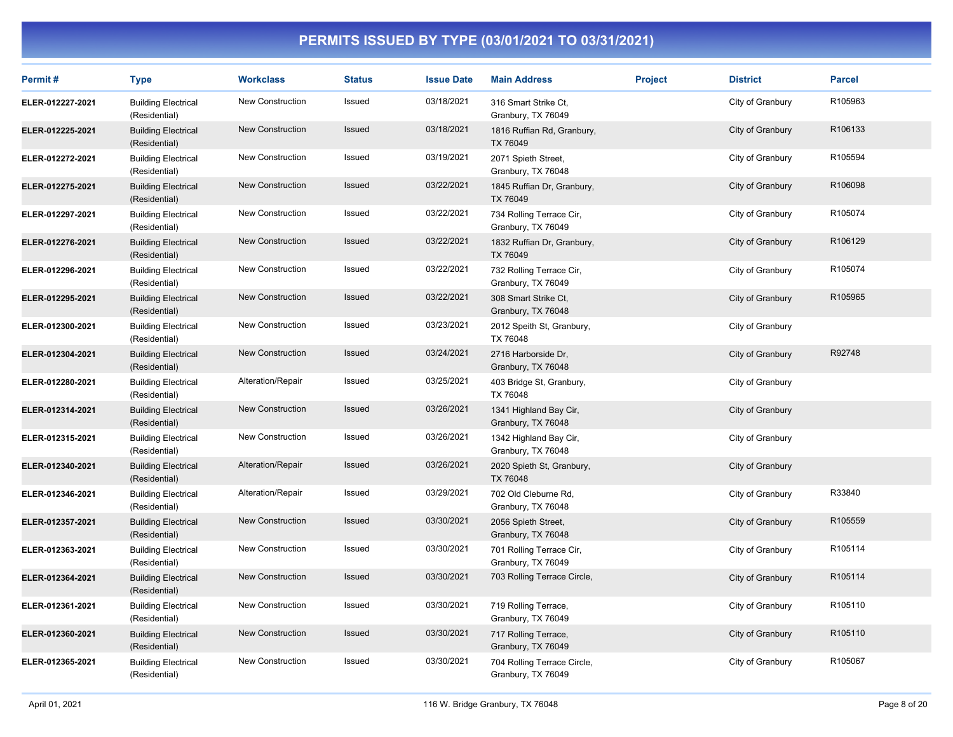| Permit#          | <b>Type</b>                                 | <b>Workclass</b>        | <b>Status</b> | <b>Issue Date</b> | <b>Main Address</b>                               | <b>Project</b> | <b>District</b>  | <b>Parcel</b> |
|------------------|---------------------------------------------|-------------------------|---------------|-------------------|---------------------------------------------------|----------------|------------------|---------------|
| ELER-012227-2021 | <b>Building Electrical</b><br>(Residential) | <b>New Construction</b> | Issued        | 03/18/2021        | 316 Smart Strike Ct.<br>Granbury, TX 76049        |                | City of Granbury | R105963       |
| ELER-012225-2021 | <b>Building Electrical</b><br>(Residential) | <b>New Construction</b> | Issued        | 03/18/2021        | 1816 Ruffian Rd, Granbury,<br>TX 76049            |                | City of Granbury | R106133       |
| ELER-012272-2021 | <b>Building Electrical</b><br>(Residential) | New Construction        | Issued        | 03/19/2021        | 2071 Spieth Street,<br>Granbury, TX 76048         |                | City of Granbury | R105594       |
| ELER-012275-2021 | <b>Building Electrical</b><br>(Residential) | <b>New Construction</b> | Issued        | 03/22/2021        | 1845 Ruffian Dr, Granbury,<br>TX 76049            |                | City of Granbury | R106098       |
| ELER-012297-2021 | <b>Building Electrical</b><br>(Residential) | New Construction        | Issued        | 03/22/2021        | 734 Rolling Terrace Cir,<br>Granbury, TX 76049    |                | City of Granbury | R105074       |
| ELER-012276-2021 | <b>Building Electrical</b><br>(Residential) | New Construction        | Issued        | 03/22/2021        | 1832 Ruffian Dr, Granbury,<br>TX 76049            |                | City of Granbury | R106129       |
| ELER-012296-2021 | <b>Building Electrical</b><br>(Residential) | <b>New Construction</b> | Issued        | 03/22/2021        | 732 Rolling Terrace Cir,<br>Granbury, TX 76049    |                | City of Granbury | R105074       |
| ELER-012295-2021 | <b>Building Electrical</b><br>(Residential) | New Construction        | Issued        | 03/22/2021        | 308 Smart Strike Ct.<br>Granbury, TX 76048        |                | City of Granbury | R105965       |
| ELER-012300-2021 | <b>Building Electrical</b><br>(Residential) | New Construction        | Issued        | 03/23/2021        | 2012 Speith St, Granbury,<br>TX 76048             |                | City of Granbury |               |
| ELER-012304-2021 | <b>Building Electrical</b><br>(Residential) | <b>New Construction</b> | Issued        | 03/24/2021        | 2716 Harborside Dr,<br>Granbury, TX 76048         |                | City of Granbury | R92748        |
| ELER-012280-2021 | <b>Building Electrical</b><br>(Residential) | Alteration/Repair       | Issued        | 03/25/2021        | 403 Bridge St, Granbury,<br>TX 76048              |                | City of Granbury |               |
| ELER-012314-2021 | <b>Building Electrical</b><br>(Residential) | <b>New Construction</b> | Issued        | 03/26/2021        | 1341 Highland Bay Cir,<br>Granbury, TX 76048      |                | City of Granbury |               |
| ELER-012315-2021 | <b>Building Electrical</b><br>(Residential) | New Construction        | Issued        | 03/26/2021        | 1342 Highland Bay Cir,<br>Granbury, TX 76048      |                | City of Granbury |               |
| ELER-012340-2021 | <b>Building Electrical</b><br>(Residential) | Alteration/Repair       | Issued        | 03/26/2021        | 2020 Spieth St, Granbury,<br>TX 76048             |                | City of Granbury |               |
| ELER-012346-2021 | <b>Building Electrical</b><br>(Residential) | Alteration/Repair       | Issued        | 03/29/2021        | 702 Old Cleburne Rd,<br>Granbury, TX 76048        |                | City of Granbury | R33840        |
| ELER-012357-2021 | <b>Building Electrical</b><br>(Residential) | New Construction        | Issued        | 03/30/2021        | 2056 Spieth Street,<br>Granbury, TX 76048         |                | City of Granbury | R105559       |
| ELER-012363-2021 | <b>Building Electrical</b><br>(Residential) | New Construction        | Issued        | 03/30/2021        | 701 Rolling Terrace Cir,<br>Granbury, TX 76049    |                | City of Granbury | R105114       |
| ELER-012364-2021 | <b>Building Electrical</b><br>(Residential) | New Construction        | Issued        | 03/30/2021        | 703 Rolling Terrace Circle,                       |                | City of Granbury | R105114       |
| ELER-012361-2021 | <b>Building Electrical</b><br>(Residential) | <b>New Construction</b> | Issued        | 03/30/2021        | 719 Rolling Terrace,<br>Granbury, TX 76049        |                | City of Granbury | R105110       |
| ELER-012360-2021 | <b>Building Electrical</b><br>(Residential) | New Construction        | Issued        | 03/30/2021        | 717 Rolling Terrace,<br>Granbury, TX 76049        |                | City of Granbury | R105110       |
| ELER-012365-2021 | <b>Building Electrical</b><br>(Residential) | <b>New Construction</b> | Issued        | 03/30/2021        | 704 Rolling Terrace Circle,<br>Granbury, TX 76049 |                | City of Granbury | R105067       |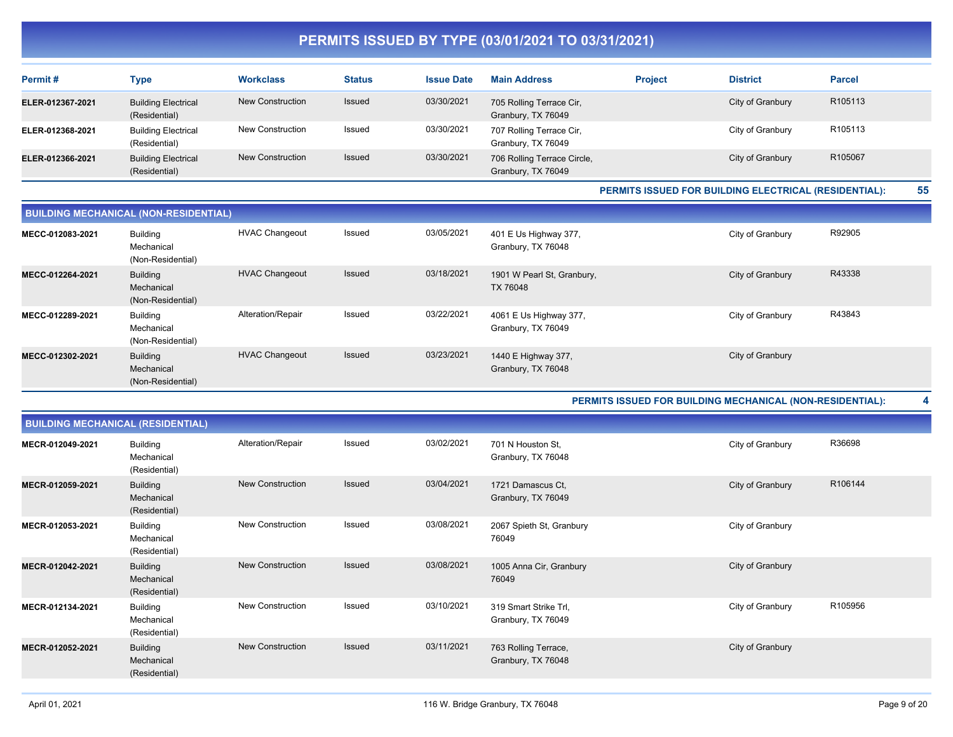| Permit#          | Type                                        | <b>Workclass</b>        | <b>Status</b> | <b>Issue Date</b> | <b>Main Address</b>                               | <b>Project</b> | <b>District</b>  | <b>Parcel</b> |
|------------------|---------------------------------------------|-------------------------|---------------|-------------------|---------------------------------------------------|----------------|------------------|---------------|
| ELER-012367-2021 | <b>Building Electrical</b><br>(Residential) | New Construction        | Issued        | 03/30/2021        | 705 Rolling Terrace Cir,<br>Granbury, TX 76049    |                | City of Granbury | R105113       |
| ELER-012368-2021 | <b>Building Electrical</b><br>(Residential) | <b>New Construction</b> | Issued        | 03/30/2021        | 707 Rolling Terrace Cir,<br>Granbury, TX 76049    |                | City of Granbury | R105113       |
| ELER-012366-2021 | <b>Building Electrical</b><br>(Residential) | New Construction        | Issued        | 03/30/2021        | 706 Rolling Terrace Circle,<br>Granbury, TX 76049 |                | City of Granbury | R105067       |

**PERMITS ISSUED FOR BUILDING ELECTRICAL (RESIDENTIAL): 55**

| <b>BUILDING MECHANICAL (NON-RESIDENTIAL)</b> |                                                    |                       |        |            |                                              |                  |        |  |  |  |
|----------------------------------------------|----------------------------------------------------|-----------------------|--------|------------|----------------------------------------------|------------------|--------|--|--|--|
| MECC-012083-2021                             | <b>Building</b><br>Mechanical<br>(Non-Residential) | <b>HVAC Changeout</b> | Issued | 03/05/2021 | 401 E Us Highway 377,<br>Granbury, TX 76048  | City of Granbury | R92905 |  |  |  |
| MECC-012264-2021                             | <b>Building</b><br>Mechanical<br>(Non-Residential) | <b>HVAC Changeout</b> | Issued | 03/18/2021 | 1901 W Pearl St, Granbury,<br>TX 76048       | City of Granbury | R43338 |  |  |  |
| MECC-012289-2021                             | <b>Building</b><br>Mechanical<br>(Non-Residential) | Alteration/Repair     | Issued | 03/22/2021 | 4061 E Us Highway 377,<br>Granbury, TX 76049 | City of Granbury | R43843 |  |  |  |
| MECC-012302-2021                             | <b>Building</b><br>Mechanical<br>(Non-Residential) | <b>HVAC Changeout</b> | Issued | 03/23/2021 | 1440 E Highway 377,<br>Granbury, TX 76048    | City of Granbury |        |  |  |  |

**PERMITS ISSUED FOR BUILDING MECHANICAL (NON-RESIDENTIAL): 4**

| <b>BUILDING MECHANICAL (RESIDENTIAL)</b> |                                                |                         |        |            |                                             |                  |         |  |  |  |
|------------------------------------------|------------------------------------------------|-------------------------|--------|------------|---------------------------------------------|------------------|---------|--|--|--|
| MECR-012049-2021                         | <b>Building</b><br>Mechanical<br>(Residential) | Alteration/Repair       | Issued | 03/02/2021 | 701 N Houston St.<br>Granbury, TX 76048     | City of Granbury | R36698  |  |  |  |
| MECR-012059-2021                         | <b>Building</b><br>Mechanical<br>(Residential) | <b>New Construction</b> | Issued | 03/04/2021 | 1721 Damascus Ct.<br>Granbury, TX 76049     | City of Granbury | R106144 |  |  |  |
| MECR-012053-2021                         | <b>Building</b><br>Mechanical<br>(Residential) | New Construction        | Issued | 03/08/2021 | 2067 Spieth St, Granbury<br>76049           | City of Granbury |         |  |  |  |
| MECR-012042-2021                         | <b>Building</b><br>Mechanical<br>(Residential) | <b>New Construction</b> | Issued | 03/08/2021 | 1005 Anna Cir, Granbury<br>76049            | City of Granbury |         |  |  |  |
| MECR-012134-2021                         | <b>Building</b><br>Mechanical<br>(Residential) | New Construction        | Issued | 03/10/2021 | 319 Smart Strike Trl,<br>Granbury, TX 76049 | City of Granbury | R105956 |  |  |  |
| MECR-012052-2021                         | <b>Building</b><br>Mechanical<br>(Residential) | <b>New Construction</b> | Issued | 03/11/2021 | 763 Rolling Terrace,<br>Granbury, TX 76048  | City of Granbury |         |  |  |  |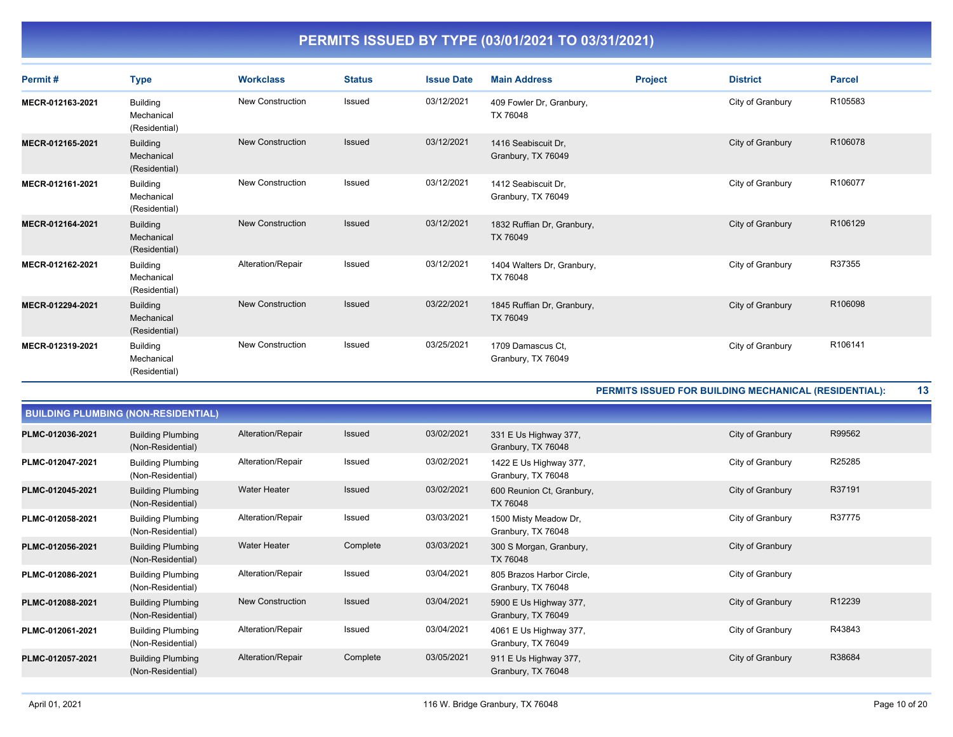| Permit#          | <b>Type</b>                                    | <b>Workclass</b>        | <b>Status</b> | <b>Issue Date</b> | <b>Main Address</b>                       | <b>Project</b> | <b>District</b>  | <b>Parcel</b> |
|------------------|------------------------------------------------|-------------------------|---------------|-------------------|-------------------------------------------|----------------|------------------|---------------|
| MECR-012163-2021 | <b>Building</b><br>Mechanical<br>(Residential) | <b>New Construction</b> | Issued        | 03/12/2021        | 409 Fowler Dr, Granbury,<br>TX 76048      |                | City of Granbury | R105583       |
| MECR-012165-2021 | <b>Building</b><br>Mechanical<br>(Residential) | <b>New Construction</b> | Issued        | 03/12/2021        | 1416 Seabiscuit Dr,<br>Granbury, TX 76049 |                | City of Granbury | R106078       |
| MECR-012161-2021 | <b>Building</b><br>Mechanical<br>(Residential) | <b>New Construction</b> | Issued        | 03/12/2021        | 1412 Seabiscuit Dr.<br>Granbury, TX 76049 |                | City of Granbury | R106077       |
| MECR-012164-2021 | <b>Building</b><br>Mechanical<br>(Residential) | <b>New Construction</b> | <b>Issued</b> | 03/12/2021        | 1832 Ruffian Dr, Granbury,<br>TX 76049    |                | City of Granbury | R106129       |
| MECR-012162-2021 | <b>Building</b><br>Mechanical<br>(Residential) | Alteration/Repair       | Issued        | 03/12/2021        | 1404 Walters Dr, Granbury,<br>TX 76048    |                | City of Granbury | R37355        |
| MECR-012294-2021 | <b>Building</b><br>Mechanical<br>(Residential) | <b>New Construction</b> | <b>Issued</b> | 03/22/2021        | 1845 Ruffian Dr, Granbury,<br>TX 76049    |                | City of Granbury | R106098       |
| MECR-012319-2021 | <b>Building</b><br>Mechanical<br>(Residential) | <b>New Construction</b> | Issued        | 03/25/2021        | 1709 Damascus Ct.<br>Granbury, TX 76049   |                | City of Granbury | R106141       |

**PERMITS ISSUED FOR BUILDING MECHANICAL (RESIDENTIAL): 13**

| <b>BUILDING PLUMBING (NON-RESIDENTIAL)</b> |                                               |                     |               |            |                                                 |                  |        |  |  |  |  |
|--------------------------------------------|-----------------------------------------------|---------------------|---------------|------------|-------------------------------------------------|------------------|--------|--|--|--|--|
| PLMC-012036-2021                           | <b>Building Plumbing</b><br>(Non-Residential) | Alteration/Repair   | <b>Issued</b> | 03/02/2021 | 331 E Us Highway 377,<br>Granbury, TX 76048     | City of Granbury | R99562 |  |  |  |  |
| PLMC-012047-2021                           | <b>Building Plumbing</b><br>(Non-Residential) | Alteration/Repair   | Issued        | 03/02/2021 | 1422 E Us Highway 377,<br>Granbury, TX 76048    | City of Granbury | R25285 |  |  |  |  |
| PLMC-012045-2021                           | <b>Building Plumbing</b><br>(Non-Residential) | <b>Water Heater</b> | <b>Issued</b> | 03/02/2021 | 600 Reunion Ct, Granbury,<br>TX 76048           | City of Granbury | R37191 |  |  |  |  |
| PLMC-012058-2021                           | <b>Building Plumbing</b><br>(Non-Residential) | Alteration/Repair   | Issued        | 03/03/2021 | 1500 Misty Meadow Dr,<br>Granbury, TX 76048     | City of Granbury | R37775 |  |  |  |  |
| PLMC-012056-2021                           | <b>Building Plumbing</b><br>(Non-Residential) | <b>Water Heater</b> | Complete      | 03/03/2021 | 300 S Morgan, Granbury,<br>TX 76048             | City of Granbury |        |  |  |  |  |
| PLMC-012086-2021                           | <b>Building Plumbing</b><br>(Non-Residential) | Alteration/Repair   | Issued        | 03/04/2021 | 805 Brazos Harbor Circle,<br>Granbury, TX 76048 | City of Granbury |        |  |  |  |  |
| PLMC-012088-2021                           | <b>Building Plumbing</b><br>(Non-Residential) | New Construction    | <b>Issued</b> | 03/04/2021 | 5900 E Us Highway 377,<br>Granbury, TX 76049    | City of Granbury | R12239 |  |  |  |  |
| PLMC-012061-2021                           | <b>Building Plumbing</b><br>(Non-Residential) | Alteration/Repair   | Issued        | 03/04/2021 | 4061 E Us Highway 377,<br>Granbury, TX 76049    | City of Granbury | R43843 |  |  |  |  |
| PLMC-012057-2021                           | <b>Building Plumbing</b><br>(Non-Residential) | Alteration/Repair   | Complete      | 03/05/2021 | 911 E Us Highway 377,<br>Granbury, TX 76048     | City of Granbury | R38684 |  |  |  |  |
|                                            |                                               |                     |               |            |                                                 |                  |        |  |  |  |  |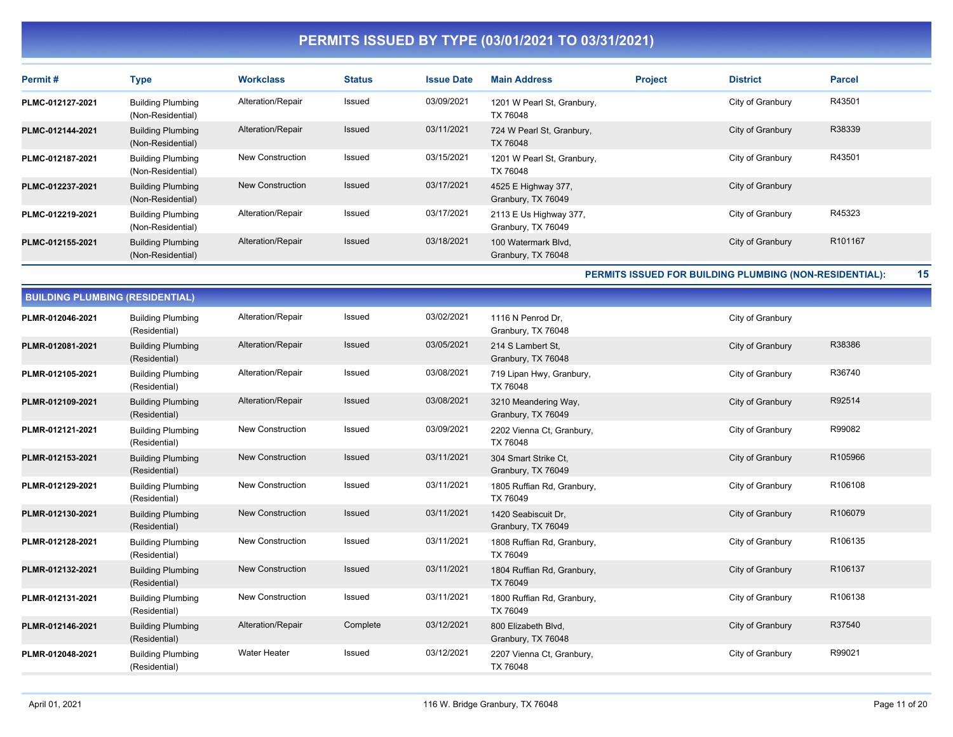| Permit#          | <b>Type</b>                                   | <b>Workclass</b>  | <b>Status</b> | <b>Issue Date</b> | <b>Main Address</b>                          | <b>Project</b> | <b>District</b>  | <b>Parcel</b> |
|------------------|-----------------------------------------------|-------------------|---------------|-------------------|----------------------------------------------|----------------|------------------|---------------|
| PLMC-012127-2021 | <b>Building Plumbing</b><br>(Non-Residential) | Alteration/Repair | Issued        | 03/09/2021        | 1201 W Pearl St, Granbury,<br>TX 76048       |                | City of Granbury | R43501        |
| PLMC-012144-2021 | <b>Building Plumbing</b><br>(Non-Residential) | Alteration/Repair | Issued        | 03/11/2021        | 724 W Pearl St, Granbury,<br>TX 76048        |                | City of Granbury | R38339        |
| PLMC-012187-2021 | <b>Building Plumbing</b><br>(Non-Residential) | New Construction  | Issued        | 03/15/2021        | 1201 W Pearl St, Granbury,<br>TX 76048       |                | City of Granbury | R43501        |
| PLMC-012237-2021 | <b>Building Plumbing</b><br>(Non-Residential) | New Construction  | <b>Issued</b> | 03/17/2021        | 4525 E Highway 377,<br>Granbury, TX 76049    |                | City of Granbury |               |
| PLMC-012219-2021 | <b>Building Plumbing</b><br>(Non-Residential) | Alteration/Repair | Issued        | 03/17/2021        | 2113 E Us Highway 377,<br>Granbury, TX 76049 |                | City of Granbury | R45323        |
| PLMC-012155-2021 | <b>Building Plumbing</b><br>(Non-Residential) | Alteration/Repair | Issued        | 03/18/2021        | 100 Watermark Blvd.<br>Granbury, TX 76048    |                | City of Granbury | R101167       |

**PERMITS ISSUED FOR BUILDING PLUMBING (NON-RESIDENTIAL): 15**

| <b>BUILDING PLUMBING (RESIDENTIAL)</b> |                                           |                         |               |            |                                            |                  |         |  |  |  |
|----------------------------------------|-------------------------------------------|-------------------------|---------------|------------|--------------------------------------------|------------------|---------|--|--|--|
| PLMR-012046-2021                       | <b>Building Plumbing</b><br>(Residential) | Alteration/Repair       | Issued        | 03/02/2021 | 1116 N Penrod Dr.<br>Granbury, TX 76048    | City of Granbury |         |  |  |  |
| PLMR-012081-2021                       | <b>Building Plumbing</b><br>(Residential) | Alteration/Repair       | Issued        | 03/05/2021 | 214 S Lambert St.<br>Granbury, TX 76048    | City of Granbury | R38386  |  |  |  |
| PLMR-012105-2021                       | <b>Building Plumbing</b><br>(Residential) | Alteration/Repair       | Issued        | 03/08/2021 | 719 Lipan Hwy, Granbury,<br>TX 76048       | City of Granbury | R36740  |  |  |  |
| PLMR-012109-2021                       | <b>Building Plumbing</b><br>(Residential) | Alteration/Repair       | <b>Issued</b> | 03/08/2021 | 3210 Meandering Way,<br>Granbury, TX 76049 | City of Granbury | R92514  |  |  |  |
| PLMR-012121-2021                       | <b>Building Plumbing</b><br>(Residential) | New Construction        | Issued        | 03/09/2021 | 2202 Vienna Ct, Granbury,<br>TX 76048      | City of Granbury | R99082  |  |  |  |
| PLMR-012153-2021                       | <b>Building Plumbing</b><br>(Residential) | <b>New Construction</b> | Issued        | 03/11/2021 | 304 Smart Strike Ct.<br>Granbury, TX 76049 | City of Granbury | R105966 |  |  |  |
| PLMR-012129-2021                       | <b>Building Plumbing</b><br>(Residential) | <b>New Construction</b> | Issued        | 03/11/2021 | 1805 Ruffian Rd, Granbury,<br>TX 76049     | City of Granbury | R106108 |  |  |  |
| PLMR-012130-2021                       | <b>Building Plumbing</b><br>(Residential) | <b>New Construction</b> | <b>Issued</b> | 03/11/2021 | 1420 Seabiscuit Dr,<br>Granbury, TX 76049  | City of Granbury | R106079 |  |  |  |
| PLMR-012128-2021                       | <b>Building Plumbing</b><br>(Residential) | New Construction        | Issued        | 03/11/2021 | 1808 Ruffian Rd, Granbury,<br>TX 76049     | City of Granbury | R106135 |  |  |  |
| PLMR-012132-2021                       | <b>Building Plumbing</b><br>(Residential) | <b>New Construction</b> | Issued        | 03/11/2021 | 1804 Ruffian Rd, Granbury,<br>TX 76049     | City of Granbury | R106137 |  |  |  |
| PLMR-012131-2021                       | <b>Building Plumbing</b><br>(Residential) | <b>New Construction</b> | Issued        | 03/11/2021 | 1800 Ruffian Rd, Granbury,<br>TX 76049     | City of Granbury | R106138 |  |  |  |
| PLMR-012146-2021                       | <b>Building Plumbing</b><br>(Residential) | Alteration/Repair       | Complete      | 03/12/2021 | 800 Elizabeth Blvd,<br>Granbury, TX 76048  | City of Granbury | R37540  |  |  |  |
| PLMR-012048-2021                       | <b>Building Plumbing</b><br>(Residential) | <b>Water Heater</b>     | Issued        | 03/12/2021 | 2207 Vienna Ct, Granbury,<br>TX 76048      | City of Granbury | R99021  |  |  |  |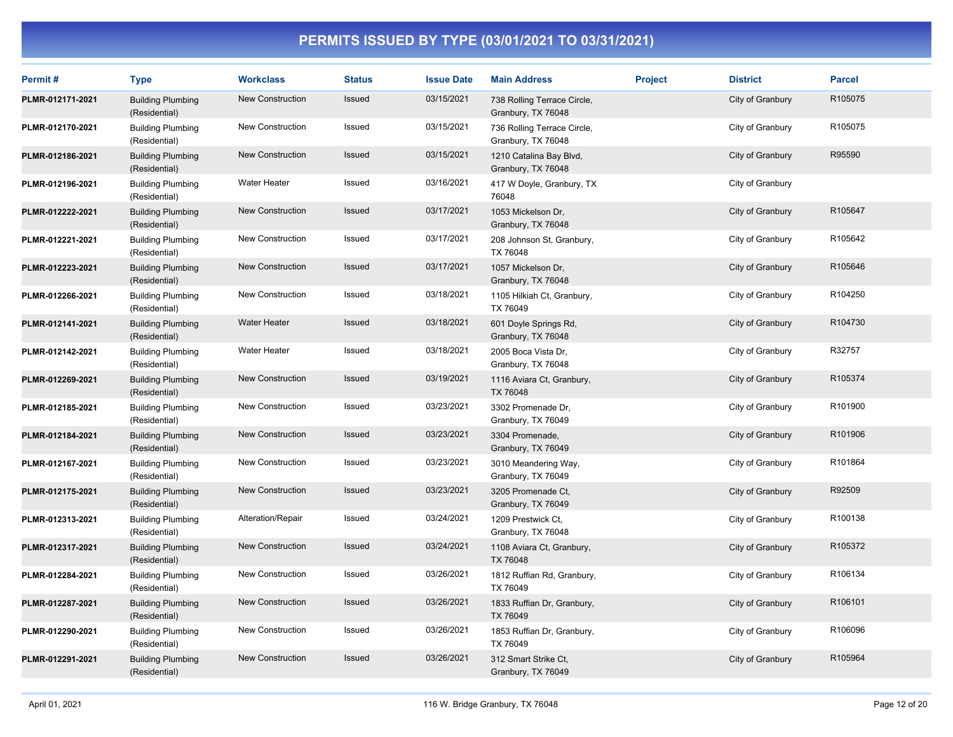| Permit#          | <b>Type</b>                               | <b>Workclass</b>        | <b>Status</b> | <b>Issue Date</b> | <b>Main Address</b>                               | <b>Project</b> | <b>District</b>  | <b>Parcel</b> |
|------------------|-------------------------------------------|-------------------------|---------------|-------------------|---------------------------------------------------|----------------|------------------|---------------|
| PLMR-012171-2021 | <b>Building Plumbing</b><br>(Residential) | <b>New Construction</b> | Issued        | 03/15/2021        | 738 Rolling Terrace Circle,<br>Granbury, TX 76048 |                | City of Granbury | R105075       |
| PLMR-012170-2021 | <b>Building Plumbing</b><br>(Residential) | New Construction        | Issued        | 03/15/2021        | 736 Rolling Terrace Circle,<br>Granbury, TX 76048 |                | City of Granbury | R105075       |
| PLMR-012186-2021 | <b>Building Plumbing</b><br>(Residential) | <b>New Construction</b> | Issued        | 03/15/2021        | 1210 Catalina Bay Blvd,<br>Granbury, TX 76048     |                | City of Granbury | R95590        |
| PLMR-012196-2021 | <b>Building Plumbing</b><br>(Residential) | Water Heater            | Issued        | 03/16/2021        | 417 W Doyle, Granbury, TX<br>76048                |                | City of Granbury |               |
| PLMR-012222-2021 | <b>Building Plumbing</b><br>(Residential) | <b>New Construction</b> | Issued        | 03/17/2021        | 1053 Mickelson Dr,<br>Granbury, TX 76048          |                | City of Granbury | R105647       |
| PLMR-012221-2021 | <b>Building Plumbing</b><br>(Residential) | <b>New Construction</b> | Issued        | 03/17/2021        | 208 Johnson St, Granbury,<br>TX 76048             |                | City of Granbury | R105642       |
| PLMR-012223-2021 | <b>Building Plumbing</b><br>(Residential) | New Construction        | Issued        | 03/17/2021        | 1057 Mickelson Dr,<br>Granbury, TX 76048          |                | City of Granbury | R105646       |
| PLMR-012266-2021 | <b>Building Plumbing</b><br>(Residential) | New Construction        | Issued        | 03/18/2021        | 1105 Hilkiah Ct, Granbury,<br>TX 76049            |                | City of Granbury | R104250       |
| PLMR-012141-2021 | <b>Building Plumbing</b><br>(Residential) | <b>Water Heater</b>     | Issued        | 03/18/2021        | 601 Doyle Springs Rd,<br>Granbury, TX 76048       |                | City of Granbury | R104730       |
| PLMR-012142-2021 | <b>Building Plumbing</b><br>(Residential) | Water Heater            | Issued        | 03/18/2021        | 2005 Boca Vista Dr.<br>Granbury, TX 76048         |                | City of Granbury | R32757        |
| PLMR-012269-2021 | <b>Building Plumbing</b><br>(Residential) | <b>New Construction</b> | Issued        | 03/19/2021        | 1116 Aviara Ct, Granbury,<br>TX 76048             |                | City of Granbury | R105374       |
| PLMR-012185-2021 | <b>Building Plumbing</b><br>(Residential) | New Construction        | Issued        | 03/23/2021        | 3302 Promenade Dr,<br>Granbury, TX 76049          |                | City of Granbury | R101900       |
| PLMR-012184-2021 | <b>Building Plumbing</b><br>(Residential) | New Construction        | Issued        | 03/23/2021        | 3304 Promenade,<br>Granbury, TX 76049             |                | City of Granbury | R101906       |
| PLMR-012167-2021 | <b>Building Plumbing</b><br>(Residential) | New Construction        | Issued        | 03/23/2021        | 3010 Meandering Way,<br>Granbury, TX 76049        |                | City of Granbury | R101864       |
| PLMR-012175-2021 | <b>Building Plumbing</b><br>(Residential) | <b>New Construction</b> | Issued        | 03/23/2021        | 3205 Promenade Ct,<br>Granbury, TX 76049          |                | City of Granbury | R92509        |
| PLMR-012313-2021 | <b>Building Plumbing</b><br>(Residential) | Alteration/Repair       | Issued        | 03/24/2021        | 1209 Prestwick Ct.<br>Granbury, TX 76048          |                | City of Granbury | R100138       |
| PLMR-012317-2021 | <b>Building Plumbing</b><br>(Residential) | <b>New Construction</b> | Issued        | 03/24/2021        | 1108 Aviara Ct, Granbury,<br>TX 76048             |                | City of Granbury | R105372       |
| PLMR-012284-2021 | <b>Building Plumbing</b><br>(Residential) | New Construction        | Issued        | 03/26/2021        | 1812 Ruffian Rd, Granbury,<br>TX 76049            |                | City of Granbury | R106134       |
| PLMR-012287-2021 | <b>Building Plumbing</b><br>(Residential) | New Construction        | Issued        | 03/26/2021        | 1833 Ruffian Dr, Granbury,<br>TX 76049            |                | City of Granbury | R106101       |
| PLMR-012290-2021 | <b>Building Plumbing</b><br>(Residential) | New Construction        | Issued        | 03/26/2021        | 1853 Ruffian Dr, Granbury,<br>TX 76049            |                | City of Granbury | R106096       |
| PLMR-012291-2021 | <b>Building Plumbing</b><br>(Residential) | <b>New Construction</b> | <b>Issued</b> | 03/26/2021        | 312 Smart Strike Ct,<br>Granbury, TX 76049        |                | City of Granbury | R105964       |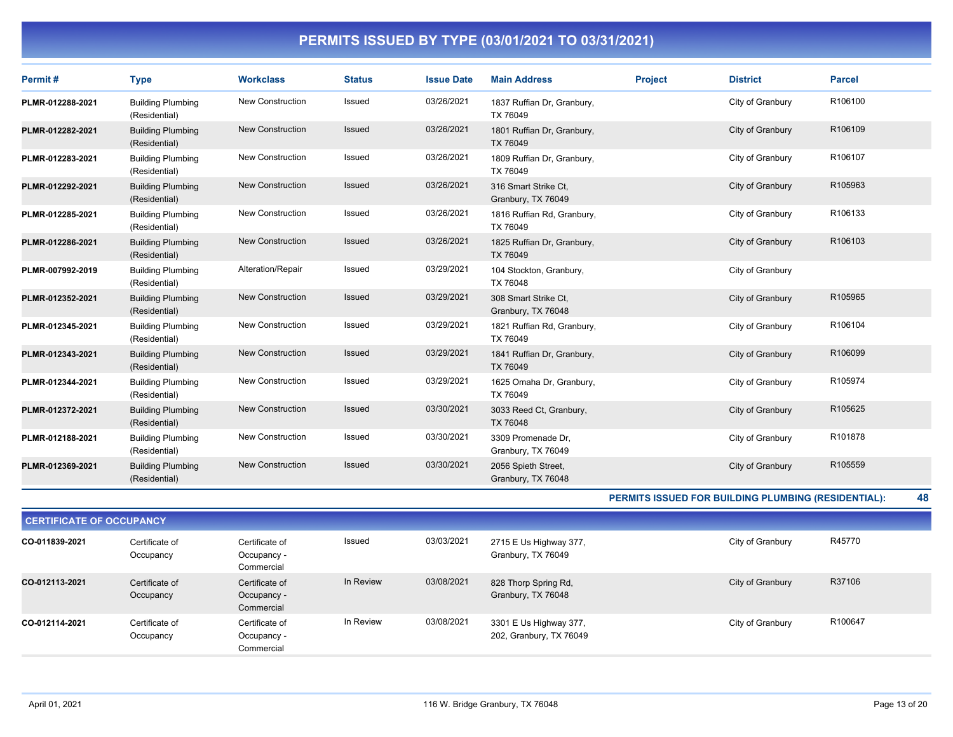| Permit#          | <b>Type</b>                                         | <b>Workclass</b>        | <b>Status</b> | <b>Issue Date</b> | <b>Main Address</b>                        | <b>Project</b> | <b>District</b>  | <b>Parcel</b> |
|------------------|-----------------------------------------------------|-------------------------|---------------|-------------------|--------------------------------------------|----------------|------------------|---------------|
| PLMR-012288-2021 | <b>Building Plumbing</b><br>(Residential)           | New Construction        | Issued        | 03/26/2021        | 1837 Ruffian Dr, Granbury,<br>TX 76049     |                | City of Granbury | R106100       |
| PLMR-012282-2021 | <b>Building Plumbing</b><br>(Residential)           | New Construction        | Issued        | 03/26/2021        | 1801 Ruffian Dr, Granbury,<br>TX 76049     |                | City of Granbury | R106109       |
| PLMR-012283-2021 | <b>Building Plumbing</b><br>(Residential)           | <b>New Construction</b> | Issued        | 03/26/2021        | 1809 Ruffian Dr, Granbury,<br>TX 76049     |                | City of Granbury | R106107       |
| PLMR-012292-2021 | <b>Building Plumbing</b><br>(Residential)           | <b>New Construction</b> | Issued        | 03/26/2021        | 316 Smart Strike Ct.<br>Granbury, TX 76049 |                | City of Granbury | R105963       |
| PLMR-012285-2021 | <b>Building Plumbing</b><br>(Residential)           | New Construction        | Issued        | 03/26/2021        | 1816 Ruffian Rd, Granbury,<br>TX 76049     |                | City of Granbury | R106133       |
| PLMR-012286-2021 | <b>Building Plumbing</b><br>(Residential)           | <b>New Construction</b> | Issued        | 03/26/2021        | 1825 Ruffian Dr, Granbury,<br>TX 76049     |                | City of Granbury | R106103       |
| PLMR-007992-2019 | <b>Building Plumbing</b><br>(Residential)           | Alteration/Repair       | Issued        | 03/29/2021        | 104 Stockton, Granbury,<br>TX 76048        |                | City of Granbury |               |
| PLMR-012352-2021 | <b>Building Plumbing</b><br>(Residential)           | <b>New Construction</b> | Issued        | 03/29/2021        | 308 Smart Strike Ct.<br>Granbury, TX 76048 |                | City of Granbury | R105965       |
| PLMR-012345-2021 | <b>Building Plumbing</b><br>(Residential)           | New Construction        | Issued        | 03/29/2021        | 1821 Ruffian Rd, Granbury,<br>TX 76049     |                | City of Granbury | R106104       |
| PLMR-012343-2021 | <b>Building Plumbing</b><br>(Residential)           | <b>New Construction</b> | Issued        | 03/29/2021        | 1841 Ruffian Dr, Granbury,<br>TX 76049     |                | City of Granbury | R106099       |
| PLMR-012344-2021 | <b>Building Plumbing</b><br>(Residential)           | New Construction        | Issued        | 03/29/2021        | 1625 Omaha Dr, Granbury,<br>TX 76049       |                | City of Granbury | R105974       |
| PLMR-012372-2021 | <b>Building Plumbing</b><br>(Residential)           | <b>New Construction</b> | Issued        | 03/30/2021        | 3033 Reed Ct, Granbury,<br>TX 76048        |                | City of Granbury | R105625       |
| PLMR-012188-2021 | <b>Building Plumbing</b><br>(Residential)           | <b>New Construction</b> | Issued        | 03/30/2021        | 3309 Promenade Dr.<br>Granbury, TX 76049   |                | City of Granbury | R101878       |
| PLMR-012369-2021 | <b>Building Plumbing</b><br>(Residential)           | <b>New Construction</b> | Issued        | 03/30/2021        | 2056 Spieth Street,<br>Granbury, TX 76048  |                | City of Granbury | R105559       |
|                  | PERMITS ISSUED FOR BUILDING PLUMBING (RESIDENTIAL): |                         |               |                   |                                            |                |                  | 48            |

| <b>CERTIFICATE OF OCCUPANCY</b> |                             |                                             |           |            |                                                   |                  |         |  |  |
|---------------------------------|-----------------------------|---------------------------------------------|-----------|------------|---------------------------------------------------|------------------|---------|--|--|
| CO-011839-2021                  | Certificate of<br>Occupancy | Certificate of<br>Occupancy -<br>Commercial | Issued    | 03/03/2021 | 2715 E Us Highway 377,<br>Granbury, TX 76049      | City of Granbury | R45770  |  |  |
| CO-012113-2021                  | Certificate of<br>Occupancy | Certificate of<br>Occupancy -<br>Commercial | In Review | 03/08/2021 | 828 Thorp Spring Rd,<br>Granbury, TX 76048        | City of Granbury | R37106  |  |  |
| CO-012114-2021                  | Certificate of<br>Occupancy | Certificate of<br>Occupancy -<br>Commercial | In Review | 03/08/2021 | 3301 E Us Highway 377,<br>202, Granbury, TX 76049 | City of Granbury | R100647 |  |  |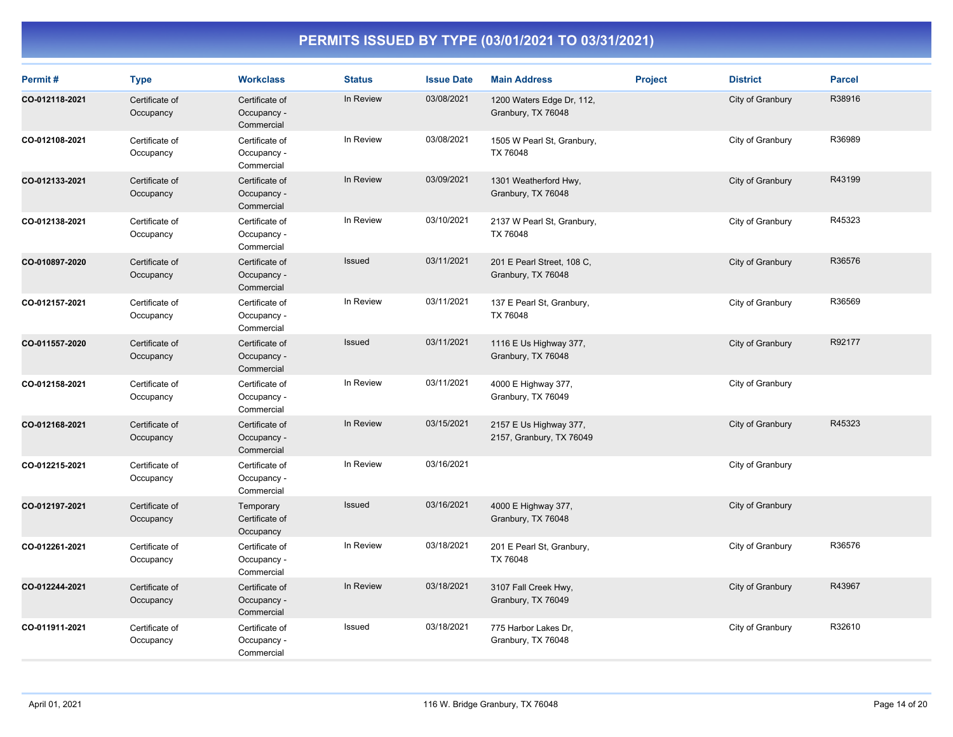| Permit#        | <b>Type</b>                 | <b>Workclass</b>                            | <b>Status</b> | <b>Issue Date</b> | <b>Main Address</b>                                | <b>Project</b> | <b>District</b>  | <b>Parcel</b> |
|----------------|-----------------------------|---------------------------------------------|---------------|-------------------|----------------------------------------------------|----------------|------------------|---------------|
| CO-012118-2021 | Certificate of<br>Occupancy | Certificate of<br>Occupancy -<br>Commercial | In Review     | 03/08/2021        | 1200 Waters Edge Dr, 112,<br>Granbury, TX 76048    |                | City of Granbury | R38916        |
| CO-012108-2021 | Certificate of<br>Occupancy | Certificate of<br>Occupancy -<br>Commercial | In Review     | 03/08/2021        | 1505 W Pearl St, Granbury,<br>TX 76048             |                | City of Granbury | R36989        |
| CO-012133-2021 | Certificate of<br>Occupancy | Certificate of<br>Occupancy -<br>Commercial | In Review     | 03/09/2021        | 1301 Weatherford Hwy,<br>Granbury, TX 76048        |                | City of Granbury | R43199        |
| CO-012138-2021 | Certificate of<br>Occupancy | Certificate of<br>Occupancy -<br>Commercial | In Review     | 03/10/2021        | 2137 W Pearl St, Granbury,<br>TX 76048             |                | City of Granbury | R45323        |
| CO-010897-2020 | Certificate of<br>Occupancy | Certificate of<br>Occupancy -<br>Commercial | Issued        | 03/11/2021        | 201 E Pearl Street, 108 C,<br>Granbury, TX 76048   |                | City of Granbury | R36576        |
| CO-012157-2021 | Certificate of<br>Occupancy | Certificate of<br>Occupancy -<br>Commercial | In Review     | 03/11/2021        | 137 E Pearl St, Granbury,<br>TX 76048              |                | City of Granbury | R36569        |
| CO-011557-2020 | Certificate of<br>Occupancy | Certificate of<br>Occupancy -<br>Commercial | Issued        | 03/11/2021        | 1116 E Us Highway 377,<br>Granbury, TX 76048       |                | City of Granbury | R92177        |
| CO-012158-2021 | Certificate of<br>Occupancy | Certificate of<br>Occupancy -<br>Commercial | In Review     | 03/11/2021        | 4000 E Highway 377,<br>Granbury, TX 76049          |                | City of Granbury |               |
| CO-012168-2021 | Certificate of<br>Occupancy | Certificate of<br>Occupancy -<br>Commercial | In Review     | 03/15/2021        | 2157 E Us Highway 377,<br>2157, Granbury, TX 76049 |                | City of Granbury | R45323        |
| CO-012215-2021 | Certificate of<br>Occupancy | Certificate of<br>Occupancy -<br>Commercial | In Review     | 03/16/2021        |                                                    |                | City of Granbury |               |
| CO-012197-2021 | Certificate of<br>Occupancy | Temporary<br>Certificate of<br>Occupancy    | Issued        | 03/16/2021        | 4000 E Highway 377,<br>Granbury, TX 76048          |                | City of Granbury |               |
| CO-012261-2021 | Certificate of<br>Occupancy | Certificate of<br>Occupancy -<br>Commercial | In Review     | 03/18/2021        | 201 E Pearl St, Granbury,<br>TX 76048              |                | City of Granbury | R36576        |
| CO-012244-2021 | Certificate of<br>Occupancy | Certificate of<br>Occupancy -<br>Commercial | In Review     | 03/18/2021        | 3107 Fall Creek Hwy,<br>Granbury, TX 76049         |                | City of Granbury | R43967        |
| CO-011911-2021 | Certificate of<br>Occupancy | Certificate of<br>Occupancy -<br>Commercial | Issued        | 03/18/2021        | 775 Harbor Lakes Dr.<br>Granbury, TX 76048         |                | City of Granbury | R32610        |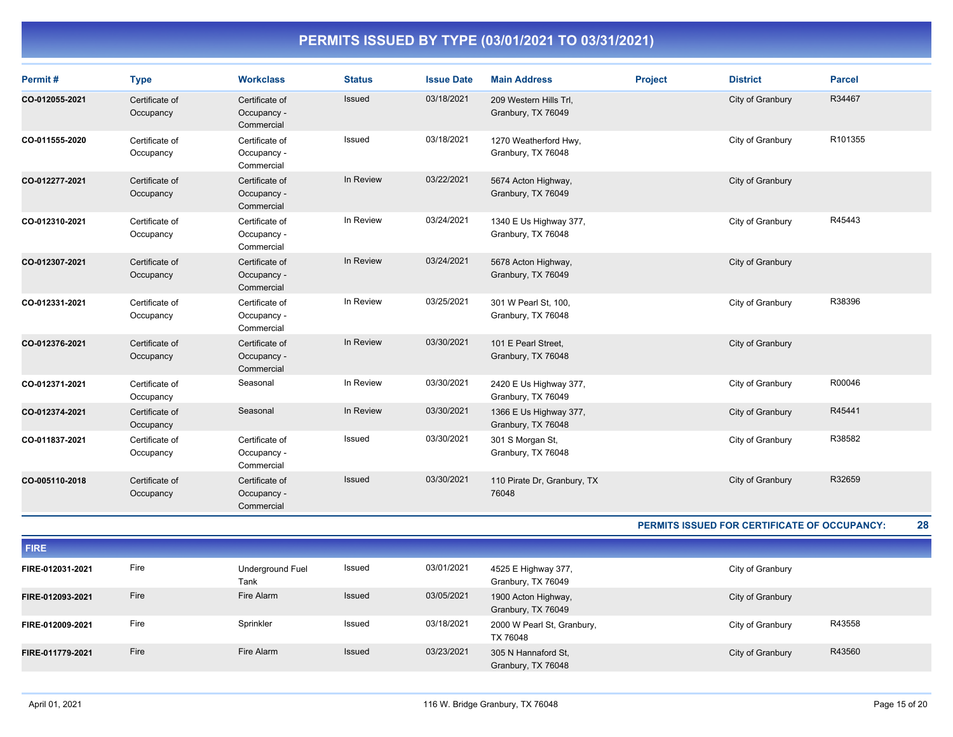| Permit#        | <b>Type</b>                 | <b>Workclass</b>                            | <b>Status</b> | <b>Issue Date</b> | <b>Main Address</b>                          | <b>Project</b> | <b>District</b>  | <b>Parcel</b> |
|----------------|-----------------------------|---------------------------------------------|---------------|-------------------|----------------------------------------------|----------------|------------------|---------------|
| CO-012055-2021 | Certificate of<br>Occupancy | Certificate of<br>Occupancy -<br>Commercial | Issued        | 03/18/2021        | 209 Western Hills Trl,<br>Granbury, TX 76049 |                | City of Granbury | R34467        |
| CO-011555-2020 | Certificate of<br>Occupancy | Certificate of<br>Occupancy -<br>Commercial | Issued        | 03/18/2021        | 1270 Weatherford Hwy,<br>Granbury, TX 76048  |                | City of Granbury | R101355       |
| CO-012277-2021 | Certificate of<br>Occupancy | Certificate of<br>Occupancy -<br>Commercial | In Review     | 03/22/2021        | 5674 Acton Highway,<br>Granbury, TX 76049    |                | City of Granbury |               |
| CO-012310-2021 | Certificate of<br>Occupancy | Certificate of<br>Occupancy -<br>Commercial | In Review     | 03/24/2021        | 1340 E Us Highway 377,<br>Granbury, TX 76048 |                | City of Granbury | R45443        |
| CO-012307-2021 | Certificate of<br>Occupancy | Certificate of<br>Occupancy -<br>Commercial | In Review     | 03/24/2021        | 5678 Acton Highway,<br>Granbury, TX 76049    |                | City of Granbury |               |
| CO-012331-2021 | Certificate of<br>Occupancy | Certificate of<br>Occupancy -<br>Commercial | In Review     | 03/25/2021        | 301 W Pearl St, 100,<br>Granbury, TX 76048   |                | City of Granbury | R38396        |
| CO-012376-2021 | Certificate of<br>Occupancy | Certificate of<br>Occupancy -<br>Commercial | In Review     | 03/30/2021        | 101 E Pearl Street,<br>Granbury, TX 76048    |                | City of Granbury |               |
| CO-012371-2021 | Certificate of<br>Occupancy | Seasonal                                    | In Review     | 03/30/2021        | 2420 E Us Highway 377,<br>Granbury, TX 76049 |                | City of Granbury | R00046        |
| CO-012374-2021 | Certificate of<br>Occupancy | Seasonal                                    | In Review     | 03/30/2021        | 1366 E Us Highway 377,<br>Granbury, TX 76048 |                | City of Granbury | R45441        |
| CO-011837-2021 | Certificate of<br>Occupancy | Certificate of<br>Occupancy -<br>Commercial | Issued        | 03/30/2021        | 301 S Morgan St,<br>Granbury, TX 76048       |                | City of Granbury | R38582        |
| CO-005110-2018 | Certificate of<br>Occupancy | Certificate of<br>Occupancy -<br>Commercial | Issued        | 03/30/2021        | 110 Pirate Dr, Granbury, TX<br>76048         |                | City of Granbury | R32659        |

**PERMITS ISSUED FOR CERTIFICATE OF OCCUPANCY: 28**

| <b>FIRE</b>      |      |                          |        |            |                                           |                  |        |
|------------------|------|--------------------------|--------|------------|-------------------------------------------|------------------|--------|
| FIRE-012031-2021 | Fire | Underground Fuel<br>Tank | Issued | 03/01/2021 | 4525 E Highway 377,<br>Granbury, TX 76049 | City of Granbury |        |
| FIRE-012093-2021 | Fire | Fire Alarm               | Issued | 03/05/2021 | 1900 Acton Highway,<br>Granbury, TX 76049 | City of Granbury |        |
| FIRE-012009-2021 | Fire | Sprinkler                | Issued | 03/18/2021 | 2000 W Pearl St, Granbury,<br>TX 76048    | City of Granbury | R43558 |
| FIRE-011779-2021 | Fire | Fire Alarm               | Issued | 03/23/2021 | 305 N Hannaford St.<br>Granbury, TX 76048 | City of Granbury | R43560 |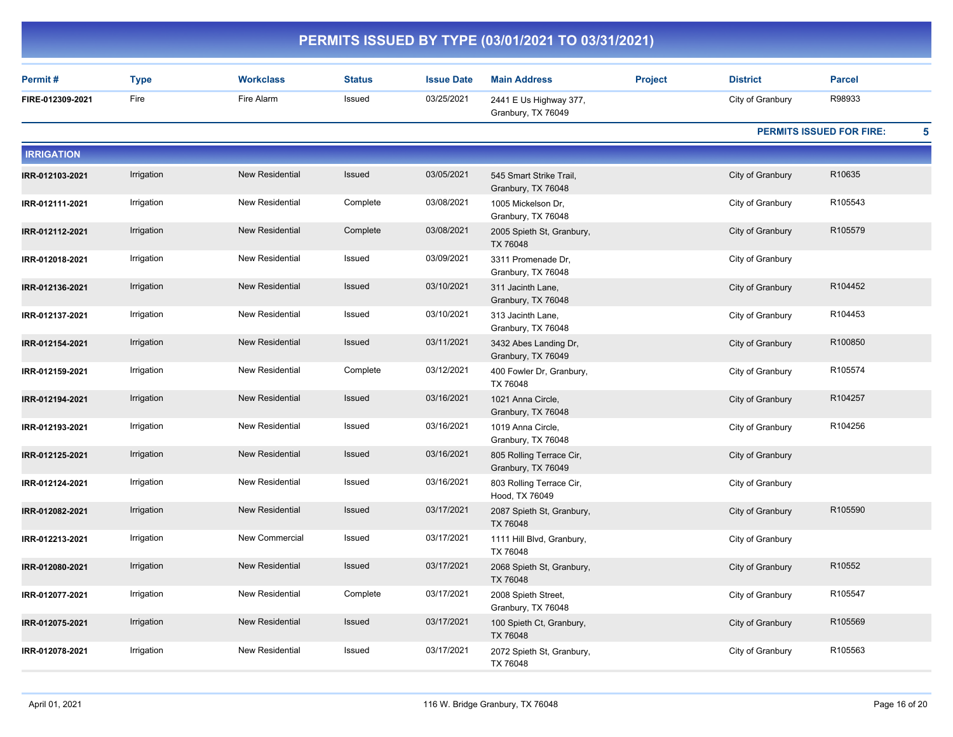|                   |             |                        |               |                   | PERMITS ISSUED BY TYPE (03/01/2021 TO 03/31/2021) |                |                  |                                      |
|-------------------|-------------|------------------------|---------------|-------------------|---------------------------------------------------|----------------|------------------|--------------------------------------|
| Permit#           | <b>Type</b> | <b>Workclass</b>       | <b>Status</b> | <b>Issue Date</b> | <b>Main Address</b>                               | <b>Project</b> | <b>District</b>  | <b>Parcel</b>                        |
| FIRE-012309-2021  | Fire        | Fire Alarm             | Issued        | 03/25/2021        | 2441 E Us Highway 377,<br>Granbury, TX 76049      |                | City of Granbury | R98933                               |
|                   |             |                        |               |                   |                                                   |                |                  | 5<br><b>PERMITS ISSUED FOR FIRE:</b> |
| <b>IRRIGATION</b> |             |                        |               |                   |                                                   |                |                  |                                      |
| IRR-012103-2021   | Irrigation  | New Residential        | <b>Issued</b> | 03/05/2021        | 545 Smart Strike Trail,<br>Granbury, TX 76048     |                | City of Granbury | R10635                               |
| IRR-012111-2021   | Irrigation  | New Residential        | Complete      | 03/08/2021        | 1005 Mickelson Dr,<br>Granbury, TX 76048          |                | City of Granbury | R105543                              |
| IRR-012112-2021   | Irrigation  | <b>New Residential</b> | Complete      | 03/08/2021        | 2005 Spieth St, Granbury,<br>TX 76048             |                | City of Granbury | R105579                              |
| IRR-012018-2021   | Irrigation  | New Residential        | Issued        | 03/09/2021        | 3311 Promenade Dr,<br>Granbury, TX 76048          |                | City of Granbury |                                      |
| IRR-012136-2021   | Irrigation  | <b>New Residential</b> | <b>Issued</b> | 03/10/2021        | 311 Jacinth Lane,<br>Granbury, TX 76048           |                | City of Granbury | R104452                              |
| IRR-012137-2021   | Irrigation  | New Residential        | Issued        | 03/10/2021        | 313 Jacinth Lane,<br>Granbury, TX 76048           |                | City of Granbury | R104453                              |
| IRR-012154-2021   | Irrigation  | <b>New Residential</b> | <b>Issued</b> | 03/11/2021        | 3432 Abes Landing Dr,<br>Granbury, TX 76049       |                | City of Granbury | R100850                              |
| IRR-012159-2021   | Irrigation  | New Residential        | Complete      | 03/12/2021        | 400 Fowler Dr, Granbury,<br>TX 76048              |                | City of Granbury | R105574                              |
| IRR-012194-2021   | Irrigation  | <b>New Residential</b> | <b>Issued</b> | 03/16/2021        | 1021 Anna Circle,<br>Granbury, TX 76048           |                | City of Granbury | R104257                              |
| IRR-012193-2021   | Irrigation  | New Residential        | Issued        | 03/16/2021        | 1019 Anna Circle,<br>Granbury, TX 76048           |                | City of Granbury | R104256                              |
| IRR-012125-2021   | Irrigation  | <b>New Residential</b> | <b>Issued</b> | 03/16/2021        | 805 Rolling Terrace Cir,<br>Granbury, TX 76049    |                | City of Granbury |                                      |
| IRR-012124-2021   | Irrigation  | New Residential        | Issued        | 03/16/2021        | 803 Rolling Terrace Cir,<br>Hood, TX 76049        |                | City of Granbury |                                      |
| IRR-012082-2021   | Irrigation  | <b>New Residential</b> | <b>Issued</b> | 03/17/2021        | 2087 Spieth St, Granbury,<br>TX 76048             |                | City of Granbury | R105590                              |
| IRR-012213-2021   | Irrigation  | New Commercial         | Issued        | 03/17/2021        | 1111 Hill Blvd, Granbury,<br>TX 76048             |                | City of Granbury |                                      |
| IRR-012080-2021   | Irrigation  | <b>New Residential</b> | <b>Issued</b> | 03/17/2021        | 2068 Spieth St, Granbury,<br>TX 76048             |                | City of Granbury | R10552                               |
| IRR-012077-2021   | Irrigation  | New Residential        | Complete      | 03/17/2021        | 2008 Spieth Street,<br>Granbury, TX 76048         |                | City of Granbury | R105547                              |
| IRR-012075-2021   | Irrigation  | <b>New Residential</b> | Issued        | 03/17/2021        | 100 Spieth Ct, Granbury,<br>TX 76048              |                | City of Granbury | R105569                              |
| IRR-012078-2021   | Irrigation  | New Residential        | Issued        | 03/17/2021        | 2072 Spieth St, Granbury,<br>TX 76048             |                | City of Granbury | R105563                              |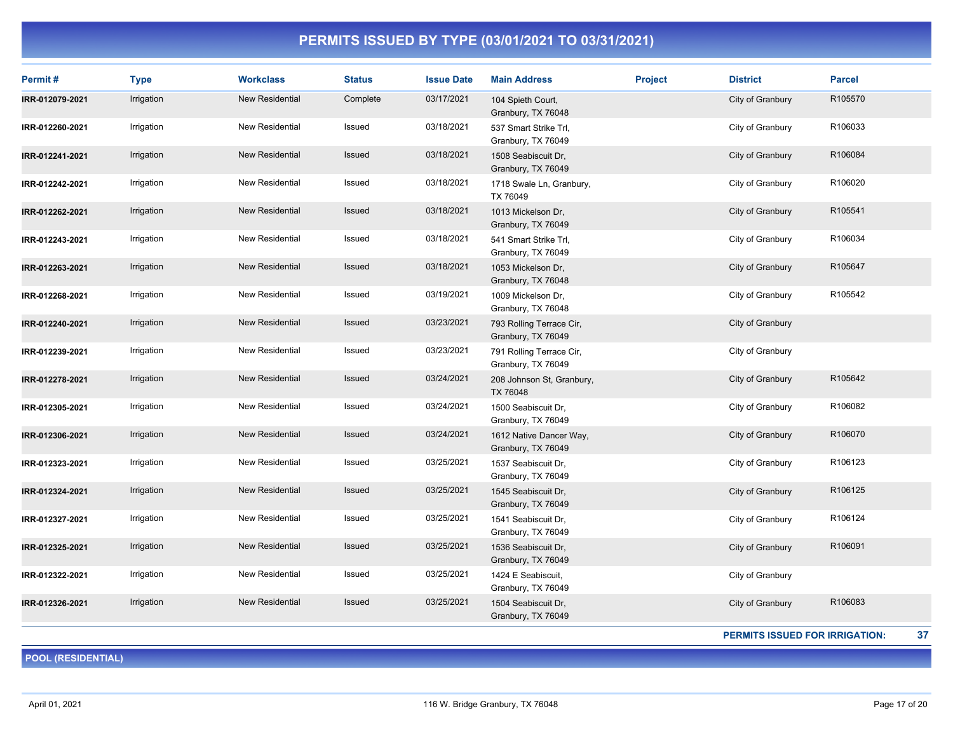| Permit#         | <b>Type</b> | <b>Workclass</b>       | <b>Status</b> | <b>Issue Date</b> | <b>Main Address</b>                            | <b>Project</b> | <b>District</b>  | <b>Parcel</b> |
|-----------------|-------------|------------------------|---------------|-------------------|------------------------------------------------|----------------|------------------|---------------|
| IRR-012079-2021 | Irrigation  | New Residential        | Complete      | 03/17/2021        | 104 Spieth Court,<br>Granbury, TX 76048        |                | City of Granbury | R105570       |
| IRR-012260-2021 | Irrigation  | New Residential        | Issued        | 03/18/2021        | 537 Smart Strike Trl,<br>Granbury, TX 76049    |                | City of Granbury | R106033       |
| IRR-012241-2021 | Irrigation  | <b>New Residential</b> | <b>Issued</b> | 03/18/2021        | 1508 Seabiscuit Dr.<br>Granbury, TX 76049      |                | City of Granbury | R106084       |
| IRR-012242-2021 | Irrigation  | New Residential        | Issued        | 03/18/2021        | 1718 Swale Ln, Granbury,<br>TX 76049           |                | City of Granbury | R106020       |
| IRR-012262-2021 | Irrigation  | <b>New Residential</b> | <b>Issued</b> | 03/18/2021        | 1013 Mickelson Dr,<br>Granbury, TX 76049       |                | City of Granbury | R105541       |
| IRR-012243-2021 | Irrigation  | <b>New Residential</b> | Issued        | 03/18/2021        | 541 Smart Strike Trl,<br>Granbury, TX 76049    |                | City of Granbury | R106034       |
| IRR-012263-2021 | Irrigation  | <b>New Residential</b> | Issued        | 03/18/2021        | 1053 Mickelson Dr,<br>Granbury, TX 76048       |                | City of Granbury | R105647       |
| IRR-012268-2021 | Irrigation  | New Residential        | Issued        | 03/19/2021        | 1009 Mickelson Dr.<br>Granbury, TX 76048       |                | City of Granbury | R105542       |
| IRR-012240-2021 | Irrigation  | New Residential        | <b>Issued</b> | 03/23/2021        | 793 Rolling Terrace Cir,<br>Granbury, TX 76049 |                | City of Granbury |               |
| IRR-012239-2021 | Irrigation  | New Residential        | Issued        | 03/23/2021        | 791 Rolling Terrace Cir,<br>Granbury, TX 76049 |                | City of Granbury |               |
| IRR-012278-2021 | Irrigation  | <b>New Residential</b> | <b>Issued</b> | 03/24/2021        | 208 Johnson St, Granbury,<br>TX 76048          |                | City of Granbury | R105642       |
| IRR-012305-2021 | Irrigation  | New Residential        | Issued        | 03/24/2021        | 1500 Seabiscuit Dr,<br>Granbury, TX 76049      |                | City of Granbury | R106082       |
| IRR-012306-2021 | Irrigation  | <b>New Residential</b> | <b>Issued</b> | 03/24/2021        | 1612 Native Dancer Way,<br>Granbury, TX 76049  |                | City of Granbury | R106070       |
| IRR-012323-2021 | Irrigation  | New Residential        | Issued        | 03/25/2021        | 1537 Seabiscuit Dr,<br>Granbury, TX 76049      |                | City of Granbury | R106123       |
| IRR-012324-2021 | Irrigation  | <b>New Residential</b> | Issued        | 03/25/2021        | 1545 Seabiscuit Dr,<br>Granbury, TX 76049      |                | City of Granbury | R106125       |
| IRR-012327-2021 | Irrigation  | <b>New Residential</b> | Issued        | 03/25/2021        | 1541 Seabiscuit Dr.<br>Granbury, TX 76049      |                | City of Granbury | R106124       |
| IRR-012325-2021 | Irrigation  | New Residential        | Issued        | 03/25/2021        | 1536 Seabiscuit Dr,<br>Granbury, TX 76049      |                | City of Granbury | R106091       |
| IRR-012322-2021 | Irrigation  | <b>New Residential</b> | Issued        | 03/25/2021        | 1424 E Seabiscuit,<br>Granbury, TX 76049       |                | City of Granbury |               |
| IRR-012326-2021 | Irrigation  | <b>New Residential</b> | <b>Issued</b> | 03/25/2021        | 1504 Seabiscuit Dr,<br>Granbury, TX 76049      |                | City of Granbury | R106083       |

**PERMITS ISSUED FOR IRRIGATION: 37**

**POOL (RESIDENTIAL)**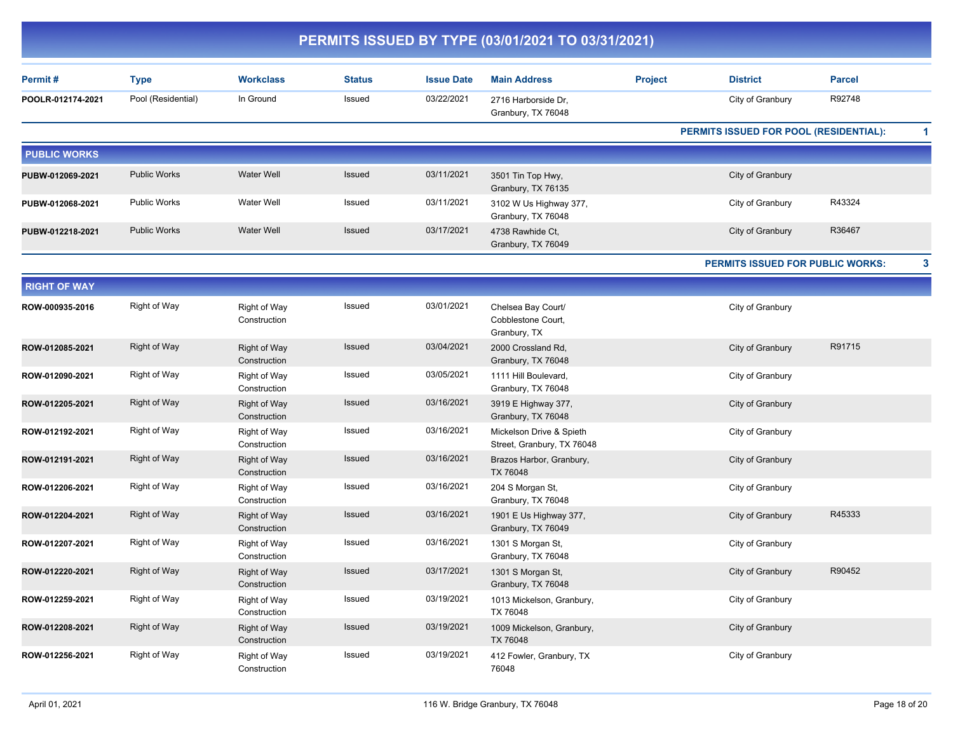| PERMITS ISSUED BY TYPE (03/01/2021 TO 03/31/2021) |                     |                              |               |                   |                                                          |                |                                               |               |    |
|---------------------------------------------------|---------------------|------------------------------|---------------|-------------------|----------------------------------------------------------|----------------|-----------------------------------------------|---------------|----|
| Permit#                                           | <b>Type</b>         | <b>Workclass</b>             | <b>Status</b> | <b>Issue Date</b> | <b>Main Address</b>                                      | <b>Project</b> | <b>District</b>                               | <b>Parcel</b> |    |
| POOLR-012174-2021                                 | Pool (Residential)  | In Ground                    | Issued        | 03/22/2021        | 2716 Harborside Dr,<br>Granbury, TX 76048                |                | City of Granbury                              | R92748        |    |
|                                                   |                     |                              |               |                   |                                                          |                | <b>PERMITS ISSUED FOR POOL (RESIDENTIAL):</b> |               | 1. |
| <b>PUBLIC WORKS</b>                               |                     |                              |               |                   |                                                          |                |                                               |               |    |
| PUBW-012069-2021                                  | <b>Public Works</b> | <b>Water Well</b>            | Issued        | 03/11/2021        | 3501 Tin Top Hwy,<br>Granbury, TX 76135                  |                | City of Granbury                              |               |    |
| PUBW-012068-2021                                  | <b>Public Works</b> | Water Well                   | Issued        | 03/11/2021        | 3102 W Us Highway 377,<br>Granbury, TX 76048             |                | City of Granbury                              | R43324        |    |
| PUBW-012218-2021                                  | <b>Public Works</b> | <b>Water Well</b>            | <b>Issued</b> | 03/17/2021        | 4738 Rawhide Ct,<br>Granbury, TX 76049                   |                | City of Granbury                              | R36467        |    |
|                                                   |                     |                              |               |                   |                                                          |                | <b>PERMITS ISSUED FOR PUBLIC WORKS:</b>       |               | 3  |
| <b>RIGHT OF WAY</b>                               |                     |                              |               |                   |                                                          |                |                                               |               |    |
| ROW-000935-2016                                   | Right of Way        | Right of Way<br>Construction | Issued        | 03/01/2021        | Chelsea Bay Court/<br>Cobblestone Court,<br>Granbury, TX |                | City of Granbury                              |               |    |
| ROW-012085-2021                                   | <b>Right of Way</b> | Right of Way<br>Construction | <b>Issued</b> | 03/04/2021        | 2000 Crossland Rd,<br>Granbury, TX 76048                 |                | City of Granbury                              | R91715        |    |
| ROW-012090-2021                                   | Right of Way        | Right of Way<br>Construction | Issued        | 03/05/2021        | 1111 Hill Boulevard,<br>Granbury, TX 76048               |                | City of Granbury                              |               |    |
| ROW-012205-2021                                   | <b>Right of Way</b> | Right of Way<br>Construction | <b>Issued</b> | 03/16/2021        | 3919 E Highway 377,<br>Granbury, TX 76048                |                | City of Granbury                              |               |    |
| ROW-012192-2021                                   | Right of Way        | Right of Way<br>Construction | Issued        | 03/16/2021        | Mickelson Drive & Spieth<br>Street, Granbury, TX 76048   |                | City of Granbury                              |               |    |
| ROW-012191-2021                                   | <b>Right of Way</b> | Right of Way<br>Construction | <b>Issued</b> | 03/16/2021        | Brazos Harbor, Granbury,<br>TX 76048                     |                | City of Granbury                              |               |    |
| ROW-012206-2021                                   | Right of Way        | Right of Way<br>Construction | <b>Issued</b> | 03/16/2021        | 204 S Morgan St,<br>Granbury, TX 76048                   |                | City of Granbury                              |               |    |
| ROW-012204-2021                                   | Right of Way        | Right of Way<br>Construction | <b>Issued</b> | 03/16/2021        | 1901 E Us Highway 377,<br>Granbury, TX 76049             |                | City of Granbury                              | R45333        |    |
| ROW-012207-2021                                   | Right of Way        | Right of Way<br>Construction | Issued        | 03/16/2021        | 1301 S Morgan St,<br>Granbury, TX 76048                  |                | City of Granbury                              |               |    |
| ROW-012220-2021                                   | Right of Way        | Right of Way<br>Construction | Issued        | 03/17/2021        | 1301 S Morgan St,<br>Granbury, TX 76048                  |                | City of Granbury                              | R90452        |    |
| ROW-012259-2021                                   | Right of Way        | Right of Way<br>Construction | Issued        | 03/19/2021        | 1013 Mickelson, Granbury,<br>TX 76048                    |                | City of Granbury                              |               |    |
| ROW-012208-2021                                   | Right of Way        | Right of Way<br>Construction | Issued        | 03/19/2021        | 1009 Mickelson, Granbury,<br>TX 76048                    |                | City of Granbury                              |               |    |
| ROW-012256-2021                                   | Right of Way        | Right of Way<br>Construction | Issued        | 03/19/2021        | 412 Fowler, Granbury, TX<br>76048                        |                | City of Granbury                              |               |    |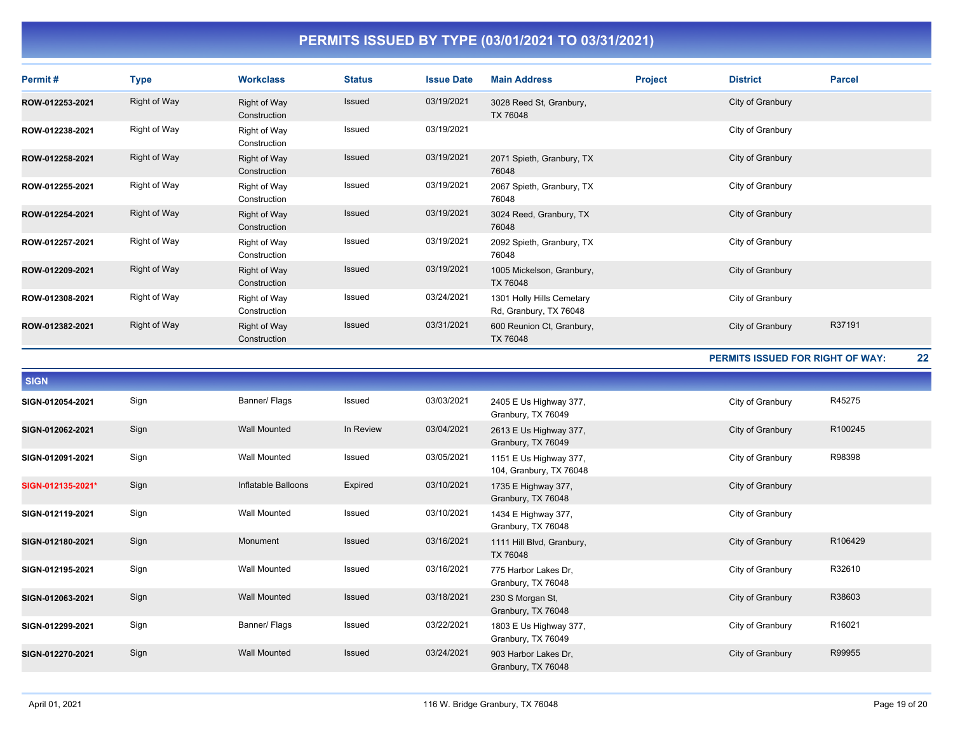| Permit#           | <b>Type</b>         | <b>Workclass</b>             | <b>Status</b> | <b>Issue Date</b> | <b>Main Address</b>                                 | <b>Project</b> | <b>District</b>                         | <b>Parcel</b> |    |
|-------------------|---------------------|------------------------------|---------------|-------------------|-----------------------------------------------------|----------------|-----------------------------------------|---------------|----|
| ROW-012253-2021   | <b>Right of Way</b> | Right of Way<br>Construction | Issued        | 03/19/2021        | 3028 Reed St, Granbury,<br>TX 76048                 |                | City of Granbury                        |               |    |
| ROW-012238-2021   | Right of Way        | Right of Way<br>Construction | Issued        | 03/19/2021        |                                                     |                | City of Granbury                        |               |    |
| ROW-012258-2021   | <b>Right of Way</b> | Right of Way<br>Construction | Issued        | 03/19/2021        | 2071 Spieth, Granbury, TX<br>76048                  |                | City of Granbury                        |               |    |
| ROW-012255-2021   | Right of Way        | Right of Way<br>Construction | Issued        | 03/19/2021        | 2067 Spieth, Granbury, TX<br>76048                  |                | City of Granbury                        |               |    |
| ROW-012254-2021   | <b>Right of Way</b> | Right of Way<br>Construction | <b>Issued</b> | 03/19/2021        | 3024 Reed, Granbury, TX<br>76048                    |                | City of Granbury                        |               |    |
| ROW-012257-2021   | Right of Way        | Right of Way<br>Construction | Issued        | 03/19/2021        | 2092 Spieth, Granbury, TX<br>76048                  |                | City of Granbury                        |               |    |
| ROW-012209-2021   | <b>Right of Way</b> | Right of Way<br>Construction | Issued        | 03/19/2021        | 1005 Mickelson, Granbury,<br>TX 76048               |                | City of Granbury                        |               |    |
| ROW-012308-2021   | Right of Way        | Right of Way<br>Construction | Issued        | 03/24/2021        | 1301 Holly Hills Cemetary<br>Rd, Granbury, TX 76048 |                | City of Granbury                        |               |    |
| ROW-012382-2021   | <b>Right of Way</b> | Right of Way<br>Construction | <b>Issued</b> | 03/31/2021        | 600 Reunion Ct, Granbury,<br>TX 76048               |                | City of Granbury                        | R37191        |    |
|                   |                     |                              |               |                   |                                                     |                | <b>PERMITS ISSUED FOR RIGHT OF WAY:</b> |               | 22 |
| <b>SIGN</b>       |                     |                              |               |                   |                                                     |                |                                         |               |    |
| SIGN-012054-2021  | Sign                | Banner/ Flags                | Issued        | 03/03/2021        | 2405 E Us Highway 377,<br>Granbury, TX 76049        |                | City of Granbury                        | R45275        |    |
| SIGN-012062-2021  | Sign                | <b>Wall Mounted</b>          | In Review     | 03/04/2021        | 2613 E Us Highway 377,<br>Granbury, TX 76049        |                | City of Granbury                        | R100245       |    |
| SIGN-012091-2021  | Sign                | Wall Mounted                 | Issued        | 03/05/2021        | 1151 E Us Highway 377,<br>104, Granbury, TX 76048   |                | City of Granbury                        | R98398        |    |
| SIGN-012135-2021* | Sign                | Inflatable Balloons          | Expired       | 03/10/2021        | 1735 E Highway 377,<br>Granbury, TX 76048           |                | City of Granbury                        |               |    |
| SIGN-012119-2021  | Sign                | Wall Mounted                 | Issued        | 03/10/2021        | 1434 E Highway 377,<br>Granbury, TX 76048           |                | City of Granbury                        |               |    |
| SIGN-012180-2021  | Sign                | Monument                     | Issued        | 03/16/2021        | 1111 Hill Blvd, Granbury,<br>TX 76048               |                | City of Granbury                        | R106429       |    |
| SIGN-012195-2021  | Sign                | <b>Wall Mounted</b>          | Issued        | 03/16/2021        | 775 Harbor Lakes Dr,<br>Granbury, TX 76048          |                | City of Granbury                        | R32610        |    |
| SIGN-012063-2021  | Sign                | <b>Wall Mounted</b>          | Issued        | 03/18/2021        | 230 S Morgan St,<br>Granbury, TX 76048              |                | City of Granbury                        | R38603        |    |
| SIGN-012299-2021  | Sign                | Banner/ Flags                | Issued        | 03/22/2021        | 1803 E Us Highway 377,<br>Granbury, TX 76049        |                | City of Granbury                        | R16021        |    |
| SIGN-012270-2021  |                     |                              |               |                   |                                                     |                |                                         |               |    |